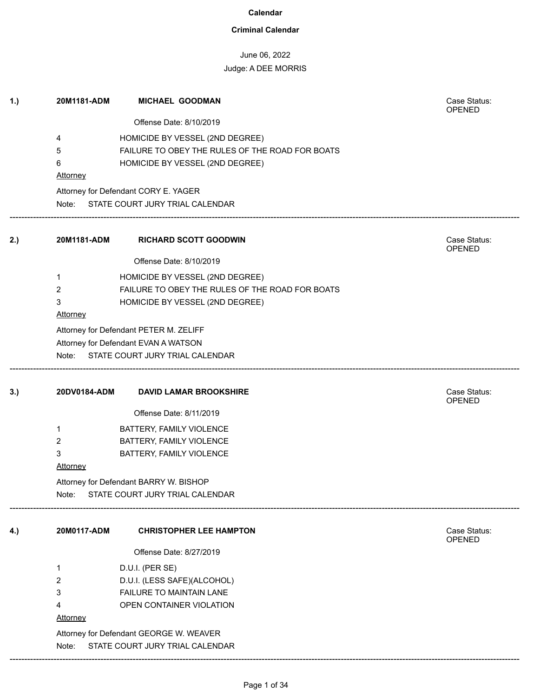### **Criminal Calendar**

# June 06, 2022

| 1.) | 20M1181-ADM     | <b>MICHAEL GOODMAN</b>                                                     | Case Status:<br><b>OPENED</b> |
|-----|-----------------|----------------------------------------------------------------------------|-------------------------------|
|     |                 | Offense Date: 8/10/2019                                                    |                               |
|     | 4               | HOMICIDE BY VESSEL (2ND DEGREE)                                            |                               |
|     | 5               | FAILURE TO OBEY THE RULES OF THE ROAD FOR BOATS                            |                               |
|     | 6               | HOMICIDE BY VESSEL (2ND DEGREE)                                            |                               |
|     | <b>Attorney</b> |                                                                            |                               |
|     |                 | Attorney for Defendant CORY E. YAGER                                       |                               |
|     |                 | Note: STATE COURT JURY TRIAL CALENDAR                                      |                               |
| 2.) | 20M1181-ADM     | <b>RICHARD SCOTT GOODWIN</b>                                               | Case Status:<br><b>OPENED</b> |
|     |                 | Offense Date: 8/10/2019                                                    |                               |
|     | 1               | HOMICIDE BY VESSEL (2ND DEGREE)                                            |                               |
|     | $\overline{2}$  | FAILURE TO OBEY THE RULES OF THE ROAD FOR BOATS                            |                               |
|     | 3               | HOMICIDE BY VESSEL (2ND DEGREE)                                            |                               |
|     | Attorney        |                                                                            |                               |
|     |                 | Attorney for Defendant PETER M. ZELIFF                                     |                               |
|     |                 | Attorney for Defendant EVAN A WATSON                                       |                               |
|     |                 | Note: STATE COURT JURY TRIAL CALENDAR                                      |                               |
| 3.) | 20DV0184-ADM    | <b>DAVID LAMAR BROOKSHIRE</b>                                              | Case Status:<br>OPENED        |
|     |                 | Offense Date: 8/11/2019                                                    |                               |
|     | 1               | BATTERY, FAMILY VIOLENCE                                                   |                               |
|     | 2               | BATTERY, FAMILY VIOLENCE                                                   |                               |
|     | 3               | BATTERY, FAMILY VIOLENCE                                                   |                               |
|     | <b>Attorney</b> |                                                                            |                               |
|     |                 | Attorney for Defendant BARRY W. BISHOP                                     |                               |
|     | Note:           | STATE COURT JURY TRIAL CALENDAR                                            |                               |
| 4.) | 20M0117-ADM     | <b>CHRISTOPHER LEE HAMPTON</b>                                             | Case Status:<br><b>OPENED</b> |
|     |                 | Offense Date: 8/27/2019                                                    |                               |
|     | 1               | D.U.I. (PER SE)                                                            |                               |
|     |                 |                                                                            |                               |
|     | 2               |                                                                            |                               |
|     | 3               | D.U.I. (LESS SAFE)(ALCOHOL)<br>FAILURE TO MAINTAIN LANE                    |                               |
|     | 4               | OPEN CONTAINER VIOLATION                                                   |                               |
|     | Attorney        |                                                                            |                               |
|     |                 |                                                                            |                               |
|     | Note:           | Attorney for Defendant GEORGE W. WEAVER<br>STATE COURT JURY TRIAL CALENDAR |                               |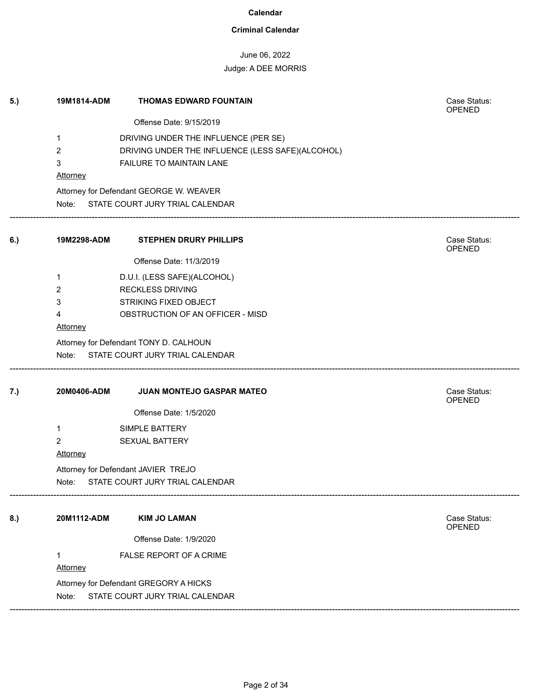### **Criminal Calendar**

# June 06, 2022

| 5.) | 19M1814-ADM     | <b>THOMAS EDWARD FOUNTAIN</b>                    | Case Status:<br><b>OPENED</b> |
|-----|-----------------|--------------------------------------------------|-------------------------------|
|     |                 | Offense Date: 9/15/2019                          |                               |
|     | $\mathbf 1$     | DRIVING UNDER THE INFLUENCE (PER SE)             |                               |
|     | 2               | DRIVING UNDER THE INFLUENCE (LESS SAFE)(ALCOHOL) |                               |
|     | 3               | FAILURE TO MAINTAIN LANE                         |                               |
|     | <b>Attorney</b> |                                                  |                               |
|     |                 | Attorney for Defendant GEORGE W. WEAVER          |                               |
|     |                 | Note: STATE COURT JURY TRIAL CALENDAR            |                               |
| 6.) | 19M2298-ADM     | <b>STEPHEN DRURY PHILLIPS</b>                    | Case Status:<br>OPENED        |
|     |                 | Offense Date: 11/3/2019                          |                               |
|     | 1               | D.U.I. (LESS SAFE)(ALCOHOL)                      |                               |
|     | 2               | <b>RECKLESS DRIVING</b>                          |                               |
|     | 3               | <b>STRIKING FIXED OBJECT</b>                     |                               |
|     | 4               | OBSTRUCTION OF AN OFFICER - MISD                 |                               |
|     | <b>Attorney</b> |                                                  |                               |
|     |                 | Attorney for Defendant TONY D. CALHOUN           |                               |
|     |                 | Note: STATE COURT JURY TRIAL CALENDAR            |                               |
| 7.) | 20M0406-ADM     | JUAN MONTEJO GASPAR MATEO                        | Case Status:<br><b>OPENED</b> |
|     |                 | Offense Date: 1/5/2020                           |                               |
|     | $\mathbf 1$     | SIMPLE BATTERY                                   |                               |
|     | $\overline{2}$  | <b>SEXUAL BATTERY</b>                            |                               |
|     | <b>Attorney</b> |                                                  |                               |
|     |                 | Attorney for Defendant JAVIER TREJO              |                               |
|     | Note:           | STATE COURT JURY TRIAL CALENDAR                  |                               |
| 8.) | 20M1112-ADM     | <b>KIM JO LAMAN</b>                              | Case Status:                  |
|     |                 |                                                  | OPENED                        |
|     |                 | Offense Date: 1/9/2020                           |                               |
|     | $\mathbf 1$     | FALSE REPORT OF A CRIME                          |                               |
|     | <b>Attorney</b> |                                                  |                               |
|     |                 | Attorney for Defendant GREGORY A HICKS           |                               |
|     | Note:           | STATE COURT JURY TRIAL CALENDAR                  |                               |
|     |                 |                                                  |                               |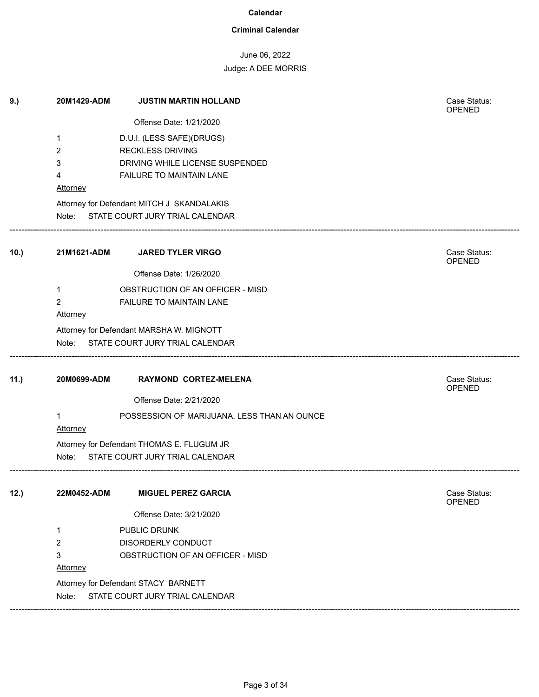### **Criminal Calendar**

# June 06, 2022

| 9.)  | 20M1429-ADM              | <b>JUSTIN MARTIN HOLLAND</b>                | Case Status:<br>OPENED |
|------|--------------------------|---------------------------------------------|------------------------|
|      |                          | Offense Date: 1/21/2020                     |                        |
|      | 1                        | D.U.I. (LESS SAFE)(DRUGS)                   |                        |
|      | 2                        | <b>RECKLESS DRIVING</b>                     |                        |
|      | 3                        | DRIVING WHILE LICENSE SUSPENDED             |                        |
|      | 4                        | FAILURE TO MAINTAIN LANE                    |                        |
|      | <b>Attorney</b>          |                                             |                        |
|      |                          | Attorney for Defendant MITCH J SKANDALAKIS  |                        |
|      |                          | Note: STATE COURT JURY TRIAL CALENDAR       |                        |
| 10.  | 21M1621-ADM              | <b>JARED TYLER VIRGO</b>                    | Case Status:<br>OPENED |
|      |                          | Offense Date: 1/26/2020                     |                        |
|      | 1                        | OBSTRUCTION OF AN OFFICER - MISD            |                        |
|      | $\overline{2}$           | FAILURE TO MAINTAIN LANE                    |                        |
|      | <b>Attorney</b>          |                                             |                        |
|      |                          | Attorney for Defendant MARSHA W. MIGNOTT    |                        |
|      | Note:                    | STATE COURT JURY TRIAL CALENDAR             |                        |
| 11.) | 20M0699-ADM              | RAYMOND CORTEZ-MELENA                       | Case Status:<br>OPENED |
|      |                          | Offense Date: 2/21/2020                     |                        |
|      | $\mathbf{1}$<br>Attorney | POSSESSION OF MARIJUANA, LESS THAN AN OUNCE |                        |
|      |                          | Attorney for Defendant THOMAS E. FLUGUM JR  |                        |
|      |                          | Note: STATE COURT JURY TRIAL CALENDAR       |                        |
| 12.) | 22M0452-ADM              | <b>MIGUEL PEREZ GARCIA</b>                  | Case Status:<br>OPENED |
|      |                          | Offense Date: 3/21/2020                     |                        |
|      | 1                        | PUBLIC DRUNK                                |                        |
|      | $\overline{2}$           | DISORDERLY CONDUCT                          |                        |
|      | 3                        | OBSTRUCTION OF AN OFFICER - MISD            |                        |
|      | <b>Attorney</b>          |                                             |                        |
|      |                          | Attorney for Defendant STACY BARNETT        |                        |
|      | Note:                    | STATE COURT JURY TRIAL CALENDAR             |                        |
|      |                          |                                             |                        |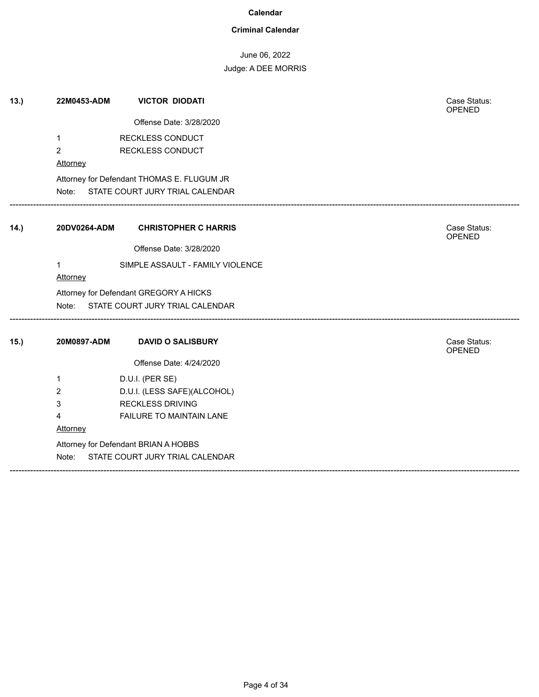#### **Criminal Calendar**

June 06, 2022

| 13.  | 22M0453-ADM     | <b>VICTOR DIODATI</b>                      | Case Status:<br><b>OPENED</b> |
|------|-----------------|--------------------------------------------|-------------------------------|
|      |                 | Offense Date: 3/28/2020                    |                               |
|      | $\mathbf 1$     | <b>RECKLESS CONDUCT</b>                    |                               |
|      | $\overline{2}$  | RECKLESS CONDUCT                           |                               |
|      | <b>Attorney</b> |                                            |                               |
|      |                 | Attorney for Defendant THOMAS E. FLUGUM JR |                               |
|      |                 | Note: STATE COURT JURY TRIAL CALENDAR      |                               |
| 14.) | 20DV0264-ADM    | <b>CHRISTOPHER C HARRIS</b>                | Case Status:                  |
|      |                 |                                            | <b>OPENED</b>                 |
|      |                 | Offense Date: 3/28/2020                    |                               |
|      | $\mathbf 1$     | SIMPLE ASSAULT - FAMILY VIOLENCE           |                               |
|      | <b>Attorney</b> |                                            |                               |
|      |                 | Attorney for Defendant GREGORY A HICKS     |                               |
|      |                 | Note: STATE COURT JURY TRIAL CALENDAR      |                               |
| 15.  | 20M0897-ADM     | <b>DAVID O SALISBURY</b>                   | Case Status:<br><b>OPENED</b> |
|      |                 | Offense Date: 4/24/2020                    |                               |
|      | 1               | D.U.I. (PER SE)                            |                               |
|      | 2               | D.U.I. (LESS SAFE)(ALCOHOL)                |                               |
|      | 3               | <b>RECKLESS DRIVING</b>                    |                               |
|      | 4               | FAILURE TO MAINTAIN LANE                   |                               |
|      | Attorney        |                                            |                               |
|      |                 | Attorney for Defendant BRIAN A HOBBS       |                               |
|      | Note:           | STATE COURT JURY TRIAL CALENDAR            |                               |
|      |                 |                                            |                               |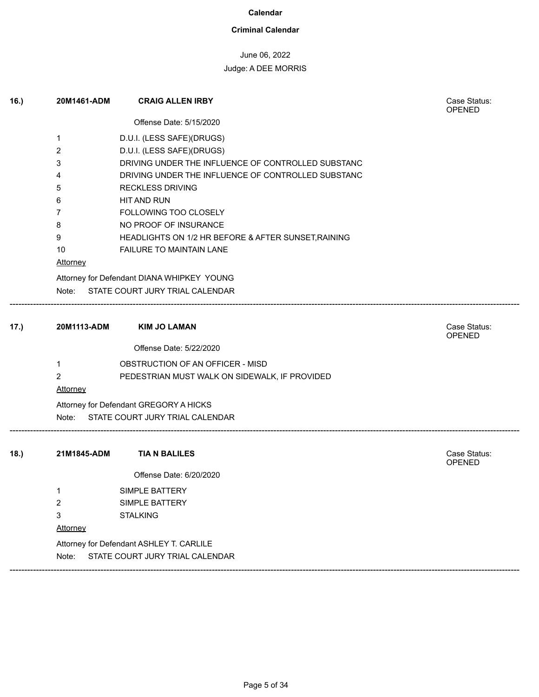### **Criminal Calendar**

# June 06, 2022

Case Status:<br>OPENED

# Judge: A DEE MORRIS

16.) **20M1461-ADM CRAIG ALLEN IRBY** 

|      |             | Offense Date: 5/15/2020                             |                        |
|------|-------------|-----------------------------------------------------|------------------------|
|      | 1           | D.U.I. (LESS SAFE)(DRUGS)                           |                        |
|      | 2           | D.U.I. (LESS SAFE)(DRUGS)                           |                        |
|      | 3           | DRIVING UNDER THE INFLUENCE OF CONTROLLED SUBSTANC  |                        |
|      | 4           | DRIVING UNDER THE INFLUENCE OF CONTROLLED SUBSTANC  |                        |
|      | 5           | <b>RECKLESS DRIVING</b>                             |                        |
|      | 6           | HIT AND RUN                                         |                        |
|      | 7           | FOLLOWING TOO CLOSELY                               |                        |
|      | 8           | NO PROOF OF INSURANCE                               |                        |
|      | 9           | HEADLIGHTS ON 1/2 HR BEFORE & AFTER SUNSET, RAINING |                        |
|      | 10          | FAILURE TO MAINTAIN LANE                            |                        |
|      | Attorney    |                                                     |                        |
|      |             | Attorney for Defendant DIANA WHIPKEY YOUNG          |                        |
|      | Note:       | STATE COURT JURY TRIAL CALENDAR                     |                        |
| 17.) | 20M1113-ADM | <b>KIM JO LAMAN</b>                                 | Case Status:<br>OPENED |
|      |             | Offense Date: 5/22/2020                             |                        |
|      | 1           | OBSTRUCTION OF AN OFFICER - MISD                    |                        |
|      | 2           | PEDESTRIAN MUST WALK ON SIDEWALK, IF PROVIDED       |                        |
|      | Attorney    |                                                     |                        |
|      |             | Attorney for Defendant GREGORY A HICKS              |                        |
|      | Note:       | STATE COURT JURY TRIAL CALENDAR                     |                        |
| 18.  | 21M1845-ADM | <b>TIAN BALILES</b>                                 | Case Status:           |
|      |             | Offense Date: 6/20/2020                             | <b>OPENED</b>          |
|      |             |                                                     |                        |
|      | 1           | SIMPLE BATTERY                                      |                        |
|      | 2           | <b>SIMPLE BATTERY</b>                               |                        |
|      | 3           | <b>STALKING</b>                                     |                        |
|      | Attorney    |                                                     |                        |
|      |             | Attorney for Defendant ASHLEY T. CARLILE            |                        |
|      | Note:       | STATE COURT JURY TRIAL CALENDAR                     |                        |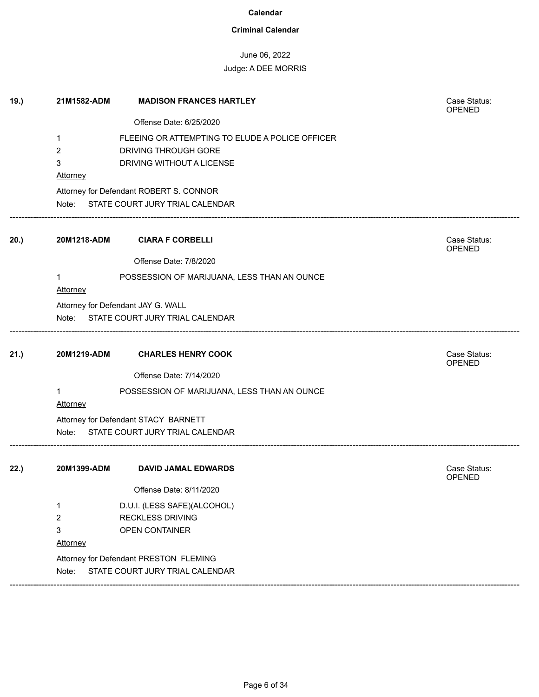### **Criminal Calendar**

# June 06, 2022

| 19.) | 21M1582-ADM | <b>MADISON FRANCES HARTLEY</b>                  | Case Status:<br><b>OPENED</b> |
|------|-------------|-------------------------------------------------|-------------------------------|
|      |             | Offense Date: 6/25/2020                         |                               |
|      | 1           | FLEEING OR ATTEMPTING TO ELUDE A POLICE OFFICER |                               |
|      | 2           | DRIVING THROUGH GORE                            |                               |
|      | 3           | DRIVING WITHOUT A LICENSE                       |                               |
|      | Attorney    |                                                 |                               |
|      |             | Attorney for Defendant ROBERT S. CONNOR         |                               |
|      |             | Note: STATE COURT JURY TRIAL CALENDAR           |                               |
| 20.) | 20M1218-ADM | <b>CIARA F CORBELLI</b>                         | Case Status:<br>OPENED        |
|      |             | Offense Date: 7/8/2020                          |                               |
|      | 1           | POSSESSION OF MARIJUANA, LESS THAN AN OUNCE     |                               |
|      | Attorney    |                                                 |                               |
|      |             | Attorney for Defendant JAY G. WALL              |                               |
|      | Note:       | STATE COURT JURY TRIAL CALENDAR                 |                               |
| 21.) | 20M1219-ADM | <b>CHARLES HENRY COOK</b>                       | Case Status:                  |
|      |             |                                                 | OPENED                        |
|      |             | Offense Date: 7/14/2020                         |                               |
|      | 1           | POSSESSION OF MARIJUANA, LESS THAN AN OUNCE     |                               |
|      | Attorney    |                                                 |                               |
|      |             | Attorney for Defendant STACY BARNETT            |                               |
|      | Note:       | STATE COURT JURY TRIAL CALENDAR                 |                               |
| 22.) | 20M1399-ADM | <b>DAVID JAMAL EDWARDS</b>                      | Case Status:                  |
|      |             | Offense Date: 8/11/2020                         | <b>OPENED</b>                 |
|      | 1           | D.U.I. (LESS SAFE)(ALCOHOL)                     |                               |
|      | 2           | <b>RECKLESS DRIVING</b>                         |                               |
|      | 3           | OPEN CONTAINER                                  |                               |
|      | Attorney    |                                                 |                               |
|      |             | Attorney for Defendant PRESTON FLEMING          |                               |
|      | Note:       | STATE COURT JURY TRIAL CALENDAR                 |                               |
|      |             |                                                 |                               |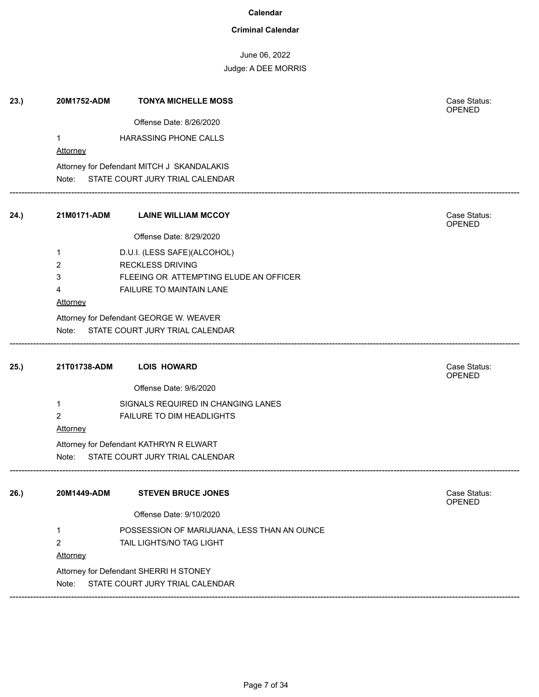### **Criminal Calendar**

June 06, 2022

| 23.) | 20M1752-ADM     | <b>TONYA MICHELLE MOSS</b>                  | Case Status:<br>OPENED        |
|------|-----------------|---------------------------------------------|-------------------------------|
|      |                 | Offense Date: 8/26/2020                     |                               |
|      | 1               | HARASSING PHONE CALLS                       |                               |
|      | Attorney        |                                             |                               |
|      |                 | Attorney for Defendant MITCH J SKANDALAKIS  |                               |
|      | Note:           | STATE COURT JURY TRIAL CALENDAR             |                               |
| 24.) | 21M0171-ADM     | <b>LAINE WILLIAM MCCOY</b>                  | Case Status:<br>OPENED        |
|      |                 | Offense Date: 8/29/2020                     |                               |
|      | 1               | D.U.I. (LESS SAFE)(ALCOHOL)                 |                               |
|      | 2               | <b>RECKLESS DRIVING</b>                     |                               |
|      | 3               | FLEEING OR ATTEMPTING ELUDE AN OFFICER      |                               |
|      | 4               | FAILURE TO MAINTAIN LANE                    |                               |
|      | Attorney        |                                             |                               |
|      |                 | Attorney for Defendant GEORGE W. WEAVER     |                               |
|      |                 | Note: STATE COURT JURY TRIAL CALENDAR       |                               |
| 25.) | 21T01738-ADM    | <b>LOIS HOWARD</b>                          | Case Status:<br>OPENED        |
|      |                 | Offense Date: 9/6/2020                      |                               |
|      | $\mathbf 1$     | SIGNALS REQUIRED IN CHANGING LANES          |                               |
|      | $\overline{2}$  | FAILURE TO DIM HEADLIGHTS                   |                               |
|      | <b>Attorney</b> |                                             |                               |
|      |                 | Attorney for Defendant KATHRYN R ELWART     |                               |
|      | Note:           | STATE COURT JURY TRIAL CALENDAR             |                               |
| 26.) | 20M1449-ADM     | <b>STEVEN BRUCE JONES</b>                   | Case Status:<br><b>OPENED</b> |
|      |                 | Offense Date: 9/10/2020                     |                               |
|      | 1               | POSSESSION OF MARIJUANA, LESS THAN AN OUNCE |                               |
|      | 2               | TAIL LIGHTS/NO TAG LIGHT                    |                               |
|      | <b>Attorney</b> |                                             |                               |
|      |                 | Attorney for Defendant SHERRI H STONEY      |                               |
|      | Note:           | STATE COURT JURY TRIAL CALENDAR             |                               |
|      |                 |                                             |                               |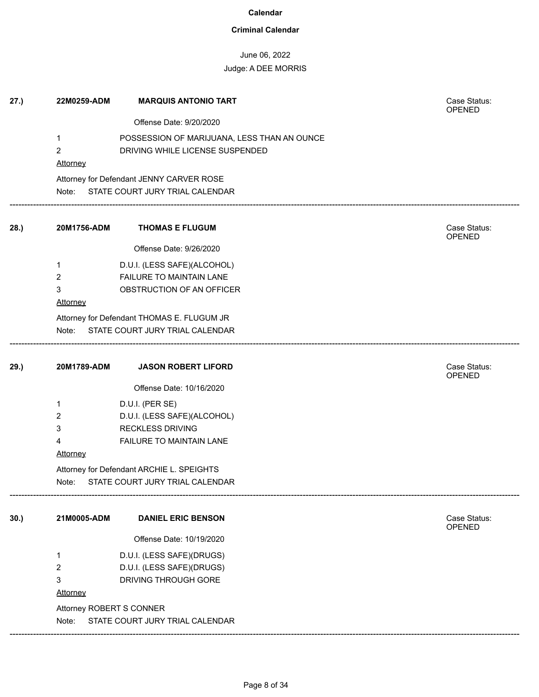### **Criminal Calendar**

# June 06, 2022

## Judge: A DEE MORRIS

| 27.) | 22M0259-ADM              | <b>MARQUIS ANTONIO TART</b>                 | Case Status:<br>OPENED        |  |  |
|------|--------------------------|---------------------------------------------|-------------------------------|--|--|
|      |                          | Offense Date: 9/20/2020                     |                               |  |  |
|      | $\mathbf{1}$             | POSSESSION OF MARIJUANA, LESS THAN AN OUNCE |                               |  |  |
|      | $\overline{2}$           | DRIVING WHILE LICENSE SUSPENDED             |                               |  |  |
|      | Attorney                 |                                             |                               |  |  |
|      |                          | Attorney for Defendant JENNY CARVER ROSE    |                               |  |  |
|      |                          | Note: STATE COURT JURY TRIAL CALENDAR       |                               |  |  |
| 28.) | 20M1756-ADM              | <b>THOMAS E FLUGUM</b>                      | Case Status:<br>OPENED        |  |  |
|      |                          | Offense Date: 9/26/2020                     |                               |  |  |
|      | 1                        | D.U.I. (LESS SAFE)(ALCOHOL)                 |                               |  |  |
|      | $\overline{2}$           | FAILURE TO MAINTAIN LANE                    |                               |  |  |
|      | 3                        | OBSTRUCTION OF AN OFFICER                   |                               |  |  |
|      | <b>Attorney</b>          |                                             |                               |  |  |
|      |                          | Attorney for Defendant THOMAS E. FLUGUM JR  |                               |  |  |
|      |                          | Note: STATE COURT JURY TRIAL CALENDAR       |                               |  |  |
| 29.) | 20M1789-ADM              | <b>JASON ROBERT LIFORD</b>                  | Case Status:<br><b>OPENED</b> |  |  |
|      |                          | Offense Date: 10/16/2020                    |                               |  |  |
|      | 1                        | D.U.I. (PER SE)                             |                               |  |  |
|      | 2                        | D.U.I. (LESS SAFE)(ALCOHOL)                 |                               |  |  |
|      | 3                        | <b>RECKLESS DRIVING</b>                     |                               |  |  |
|      | 4                        | FAILURE TO MAINTAIN LANE                    |                               |  |  |
|      | <b>Attorney</b>          |                                             |                               |  |  |
|      |                          | Attorney for Defendant ARCHIE L. SPEIGHTS   |                               |  |  |
|      | Note:                    | STATE COURT JURY TRIAL CALENDAR             |                               |  |  |
| 30.  | 21M0005-ADM              | <b>DANIEL ERIC BENSON</b>                   | Case Status:<br><b>OPENED</b> |  |  |
|      |                          | Offense Date: 10/19/2020                    |                               |  |  |
|      | 1                        | D.U.I. (LESS SAFE)(DRUGS)                   |                               |  |  |
|      | 2                        | D.U.I. (LESS SAFE)(DRUGS)                   |                               |  |  |
|      | 3                        | DRIVING THROUGH GORE                        |                               |  |  |
|      | Attorney                 |                                             |                               |  |  |
|      | Attorney ROBERT S CONNER |                                             |                               |  |  |
|      | Note:                    | STATE COURT JURY TRIAL CALENDAR             |                               |  |  |

------------------------------------------------------------------------------------------------------------------------------------------------------------------------------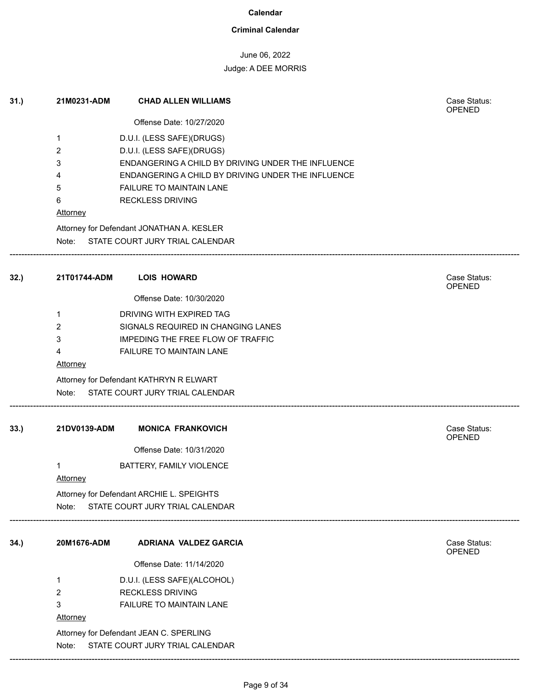### **Criminal Calendar**

# June 06, 2022

| 31.) | 21M0231-ADM          | <b>CHAD ALLEN WILLIAMS</b>                                                 | Case Status:<br><b>OPENED</b> |
|------|----------------------|----------------------------------------------------------------------------|-------------------------------|
|      |                      | Offense Date: 10/27/2020                                                   |                               |
|      | 1                    | D.U.I. (LESS SAFE)(DRUGS)                                                  |                               |
|      | 2                    | D.U.I. (LESS SAFE)(DRUGS)                                                  |                               |
|      | 3                    | ENDANGERING A CHILD BY DRIVING UNDER THE INFLUENCE                         |                               |
|      | 4                    | ENDANGERING A CHILD BY DRIVING UNDER THE INFLUENCE                         |                               |
|      | 5<br>6               | FAILURE TO MAINTAIN LANE<br><b>RECKLESS DRIVING</b>                        |                               |
|      | <b>Attorney</b>      |                                                                            |                               |
|      |                      | Attorney for Defendant JONATHAN A. KESLER                                  |                               |
|      |                      | Note: STATE COURT JURY TRIAL CALENDAR                                      |                               |
| 32.) | 21T01744-ADM         | <b>LOIS HOWARD</b>                                                         | Case Status:                  |
|      |                      |                                                                            | OPENED                        |
|      |                      | Offense Date: 10/30/2020                                                   |                               |
|      | $\mathbf 1$          | DRIVING WITH EXPIRED TAG                                                   |                               |
|      | 2                    | SIGNALS REQUIRED IN CHANGING LANES                                         |                               |
|      | 3                    | <b>IMPEDING THE FREE FLOW OF TRAFFIC</b>                                   |                               |
|      | 4<br><b>Attorney</b> | FAILURE TO MAINTAIN LANE                                                   |                               |
|      |                      |                                                                            |                               |
|      | Note:                | Attorney for Defendant KATHRYN R ELWART<br>STATE COURT JURY TRIAL CALENDAR |                               |
| 33.) | 21DV0139-ADM         | <b>MONICA FRANKOVICH</b>                                                   | Case Status:                  |
|      |                      |                                                                            | <b>OPENED</b>                 |
|      |                      | Offense Date: 10/31/2020                                                   |                               |
|      | 1                    | BATTERY, FAMILY VIOLENCE                                                   |                               |
|      | Attorney             |                                                                            |                               |
|      |                      | Attorney for Defendant ARCHIE L. SPEIGHTS                                  |                               |
|      | Note:                | STATE COURT JURY TRIAL CALENDAR                                            |                               |
| 34.) | 20M1676-ADM          | <b>ADRIANA VALDEZ GARCIA</b>                                               | Case Status:                  |
|      |                      | Offense Date: 11/14/2020                                                   | <b>OPENED</b>                 |
|      | 1                    | D.U.I. (LESS SAFE)(ALCOHOL)                                                |                               |
|      | 2                    | <b>RECKLESS DRIVING</b>                                                    |                               |
|      | 3                    | FAILURE TO MAINTAIN LANE                                                   |                               |
|      | Attorney             |                                                                            |                               |
|      |                      | Attorney for Defendant JEAN C. SPERLING                                    |                               |
|      | Note:                | STATE COURT JURY TRIAL CALENDAR                                            |                               |
|      |                      |                                                                            |                               |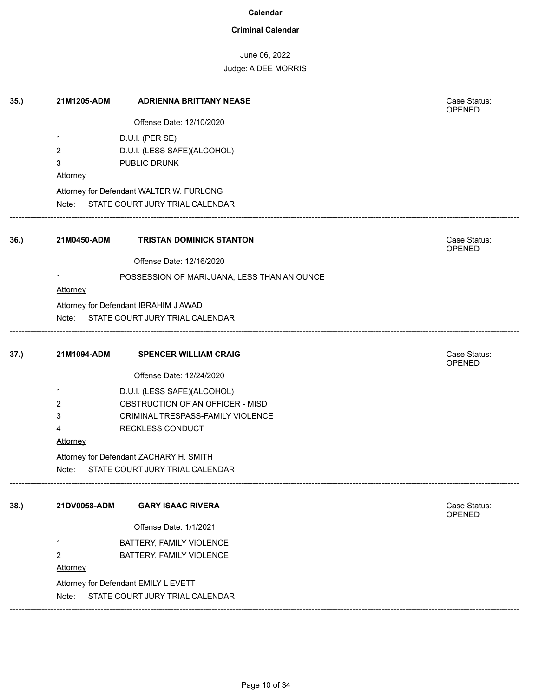### **Criminal Calendar**

### June 06, 2022

| 35.) | 21M1205-ADM     | <b>ADRIENNA BRITTANY NEASE</b>              | Case Status:<br>OPENED |
|------|-----------------|---------------------------------------------|------------------------|
|      |                 | Offense Date: 12/10/2020                    |                        |
|      | 1               | D.U.I. (PER SE)                             |                        |
|      | $\overline{c}$  | D.U.I. (LESS SAFE)(ALCOHOL)                 |                        |
|      | 3               | PUBLIC DRUNK                                |                        |
|      | <b>Attorney</b> |                                             |                        |
|      |                 | Attorney for Defendant WALTER W. FURLONG    |                        |
|      |                 | Note: STATE COURT JURY TRIAL CALENDAR       |                        |
| 36.) | 21M0450-ADM     | <b>TRISTAN DOMINICK STANTON</b>             | Case Status:<br>OPENED |
|      |                 | Offense Date: 12/16/2020                    |                        |
|      |                 | POSSESSION OF MARIJUANA, LESS THAN AN OUNCE |                        |
|      | Attorney        |                                             |                        |
|      |                 | Attorney for Defendant IBRAHIM J AWAD       |                        |
|      |                 | Note: STATE COURT JURY TRIAL CALENDAR       |                        |
|      |                 |                                             |                        |
| 37.) | 21M1094-ADM     | <b>SPENCER WILLIAM CRAIG</b>                | Case Status:<br>OPENED |
|      |                 | Offense Date: 12/24/2020                    |                        |
|      | $\mathbf 1$     | D.U.I. (LESS SAFE)(ALCOHOL)                 |                        |
|      | 2               | OBSTRUCTION OF AN OFFICER - MISD            |                        |
|      | 3               | CRIMINAL TRESPASS-FAMILY VIOLENCE           |                        |
|      | 4               | RECKLESS CONDUCT                            |                        |
|      | <b>Attorney</b> |                                             |                        |
|      |                 | Attorney for Defendant ZACHARY H. SMITH     |                        |
|      | Note:           | STATE COURT JURY TRIAL CALENDAR             |                        |
| 38.) | 21DV0058-ADM    | <b>GARY ISAAC RIVERA</b>                    | Case Status:<br>OPENED |
|      |                 | Offense Date: 1/1/2021                      |                        |
|      | 1               | BATTERY, FAMILY VIOLENCE                    |                        |
|      | 2               | BATTERY, FAMILY VIOLENCE                    |                        |
|      | Attorney        |                                             |                        |
|      |                 | Attorney for Defendant EMILY L EVETT        |                        |
|      | Note:           | STATE COURT JURY TRIAL CALENDAR             |                        |
|      |                 |                                             |                        |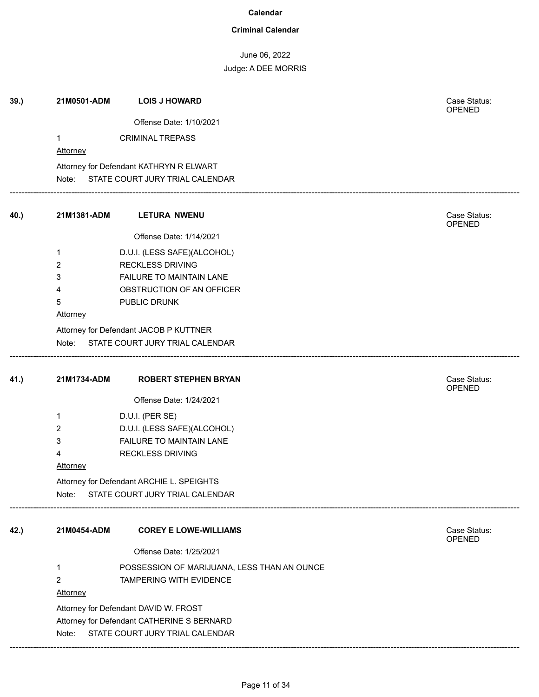### **Criminal Calendar**

June 06, 2022

| 39.  | 21M0501-ADM     | <b>LOIS J HOWARD</b>                        | Case Status:<br>OPENED        |
|------|-----------------|---------------------------------------------|-------------------------------|
|      |                 | Offense Date: 1/10/2021                     |                               |
|      | 1               | <b>CRIMINAL TREPASS</b>                     |                               |
|      | <b>Attorney</b> |                                             |                               |
|      |                 | Attorney for Defendant KATHRYN R ELWART     |                               |
|      |                 | Note: STATE COURT JURY TRIAL CALENDAR       |                               |
| 40.) | 21M1381-ADM     | <b>LETURA NWENU</b>                         | Case Status:<br>OPENED        |
|      |                 | Offense Date: 1/14/2021                     |                               |
|      | 1               | D.U.I. (LESS SAFE)(ALCOHOL)                 |                               |
|      | $\overline{2}$  | <b>RECKLESS DRIVING</b>                     |                               |
|      | 3               | FAILURE TO MAINTAIN LANE                    |                               |
|      | 4               | OBSTRUCTION OF AN OFFICER                   |                               |
|      | 5               | PUBLIC DRUNK                                |                               |
|      | Attorney        |                                             |                               |
|      |                 | Attorney for Defendant JACOB P KUTTNER      |                               |
|      | Note:           | STATE COURT JURY TRIAL CALENDAR             |                               |
| 41.) | 21M1734-ADM     | <b>ROBERT STEPHEN BRYAN</b>                 | Case Status:<br><b>OPENED</b> |
|      |                 | Offense Date: 1/24/2021                     |                               |
|      | 1               | D.U.I. (PER SE)                             |                               |
|      | 2               | D.U.I. (LESS SAFE)(ALCOHOL)                 |                               |
|      | 3               | FAILURE TO MAINTAIN LANE                    |                               |
|      | 4               | <b>RECKLESS DRIVING</b>                     |                               |
|      | <b>Attorney</b> |                                             |                               |
|      |                 | Attorney for Defendant ARCHIE L. SPEIGHTS   |                               |
|      | Note:           | STATE COURT JURY TRIAL CALENDAR             |                               |
| 42.) | 21M0454-ADM     | <b>COREY E LOWE-WILLIAMS</b>                | Case Status:<br><b>OPENED</b> |
|      |                 | Offense Date: 1/25/2021                     |                               |
|      | 1               | POSSESSION OF MARIJUANA, LESS THAN AN OUNCE |                               |
|      | $\overline{2}$  | TAMPERING WITH EVIDENCE                     |                               |
|      | <b>Attorney</b> |                                             |                               |
|      |                 | Attorney for Defendant DAVID W. FROST       |                               |
|      |                 | Attorney for Defendant CATHERINE S BERNARD  |                               |
|      | Note:           | STATE COURT JURY TRIAL CALENDAR             |                               |
|      |                 |                                             |                               |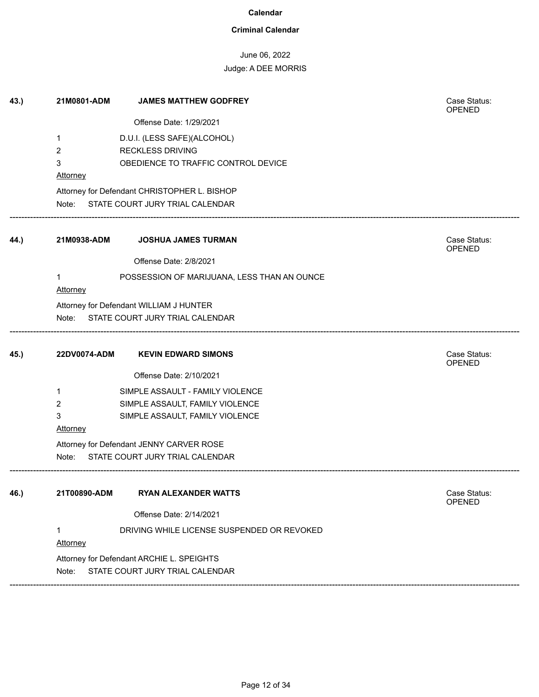### **Criminal Calendar**

# June 06, 2022

| 43.) | 21M0801-ADM  | <b>JAMES MATTHEW GODFREY</b>                 | Case Status:<br>OPENED        |
|------|--------------|----------------------------------------------|-------------------------------|
|      |              | Offense Date: 1/29/2021                      |                               |
|      | 1            | D.U.I. (LESS SAFE)(ALCOHOL)                  |                               |
|      | 2            | <b>RECKLESS DRIVING</b>                      |                               |
|      | 3            | OBEDIENCE TO TRAFFIC CONTROL DEVICE          |                               |
|      | Attorney     |                                              |                               |
|      |              | Attorney for Defendant CHRISTOPHER L. BISHOP |                               |
|      |              | Note: STATE COURT JURY TRIAL CALENDAR        |                               |
| 44.) | 21M0938-ADM  | <b>JOSHUA JAMES TURMAN</b>                   | Case Status:<br><b>OPENED</b> |
|      |              | Offense Date: 2/8/2021                       |                               |
|      |              | POSSESSION OF MARIJUANA, LESS THAN AN OUNCE  |                               |
|      | Attorney     |                                              |                               |
|      |              | Attorney for Defendant WILLIAM J HUNTER      |                               |
|      | Note:        | STATE COURT JURY TRIAL CALENDAR              |                               |
| 45.) | 22DV0074-ADM | <b>KEVIN EDWARD SIMONS</b>                   | Case Status:<br>OPENED        |
|      |              | Offense Date: 2/10/2021                      |                               |
|      | 1            | SIMPLE ASSAULT - FAMILY VIOLENCE             |                               |
|      | 2            | SIMPLE ASSAULT, FAMILY VIOLENCE              |                               |
|      | 3            | SIMPLE ASSAULT, FAMILY VIOLENCE              |                               |
|      | Attorney     |                                              |                               |
|      |              | Attorney for Defendant JENNY CARVER ROSE     |                               |
|      | Note:        | STATE COURT JURY TRIAL CALENDAR              |                               |
| 46.) | 21T00890-ADM | <b>RYAN ALEXANDER WATTS</b>                  | Case Status:<br>OPENED        |
|      |              | Offense Date: 2/14/2021                      |                               |
|      |              | DRIVING WHILE LICENSE SUSPENDED OR REVOKED   |                               |
|      | Attorney     |                                              |                               |
|      |              | Attorney for Defendant ARCHIE L. SPEIGHTS    |                               |
|      | Note:        | STATE COURT JURY TRIAL CALENDAR              |                               |
|      |              |                                              |                               |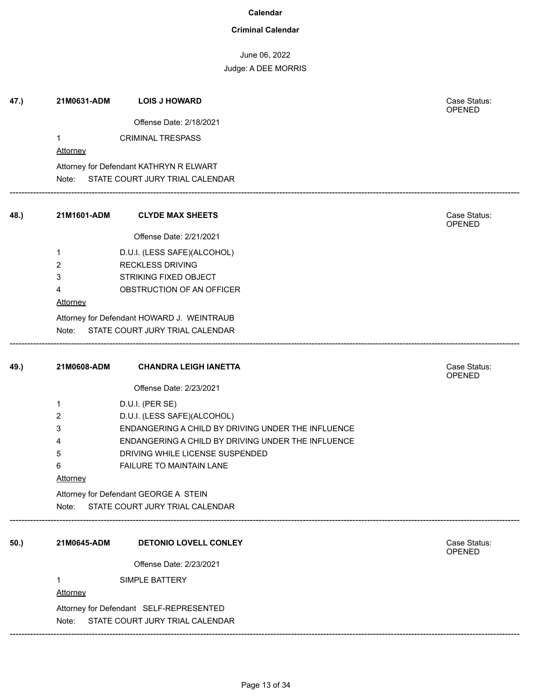### **Criminal Calendar**

June 06, 2022

| 47.) | 21M0631-ADM     | <b>LOIS J HOWARD</b>                               | Case Status:<br><b>OPENED</b> |
|------|-----------------|----------------------------------------------------|-------------------------------|
|      |                 | Offense Date: 2/18/2021                            |                               |
|      | $\mathbf{1}$    | <b>CRIMINAL TRESPASS</b>                           |                               |
|      | <b>Attorney</b> |                                                    |                               |
|      |                 | Attorney for Defendant KATHRYN R ELWART            |                               |
|      |                 | Note: STATE COURT JURY TRIAL CALENDAR              |                               |
|      |                 |                                                    |                               |
| 48.) | 21M1601-ADM     | <b>CLYDE MAX SHEETS</b>                            | Case Status:<br><b>OPENED</b> |
|      |                 | Offense Date: 2/21/2021                            |                               |
|      | 1               | D.U.I. (LESS SAFE)(ALCOHOL)                        |                               |
|      | 2               | <b>RECKLESS DRIVING</b>                            |                               |
|      | 3               | <b>STRIKING FIXED OBJECT</b>                       |                               |
|      | 4               | OBSTRUCTION OF AN OFFICER                          |                               |
|      | Attorney        |                                                    |                               |
|      |                 | Attorney for Defendant HOWARD J. WEINTRAUB         |                               |
|      | Note:           | STATE COURT JURY TRIAL CALENDAR                    |                               |
|      |                 |                                                    |                               |
| 49.) | 21M0608-ADM     | <b>CHANDRA LEIGH IANETTA</b>                       | Case Status:<br>OPENED        |
|      |                 | Offense Date: 2/23/2021                            |                               |
|      | 1               | D.U.I. (PER SE)                                    |                               |
|      | 2               | D.U.I. (LESS SAFE)(ALCOHOL)                        |                               |
|      | 3               | ENDANGERING A CHILD BY DRIVING UNDER THE INFLUENCE |                               |
|      | 4               | ENDANGERING A CHILD BY DRIVING UNDER THE INFLUENCE |                               |
|      | 5               | DRIVING WHILE LICENSE SUSPENDED                    |                               |
|      | 6               | FAILURE TO MAINTAIN LANE                           |                               |
|      | <b>Attorney</b> |                                                    |                               |
|      |                 | Attorney for Defendant GEORGE A STEIN              |                               |
|      | Note:           | STATE COURT JURY TRIAL CALENDAR                    |                               |
| 50.) | 21M0645-ADM     | <b>DETONIO LOVELL CONLEY</b>                       | Case Status:                  |
|      |                 |                                                    | OPENED                        |
|      |                 | Offense Date: 2/23/2021                            |                               |
|      | 1               | SIMPLE BATTERY                                     |                               |
|      | Attorney        |                                                    |                               |
|      |                 | Attorney for Defendant SELF-REPRESENTED            |                               |
|      | Note:           | STATE COURT JURY TRIAL CALENDAR                    |                               |
|      |                 |                                                    |                               |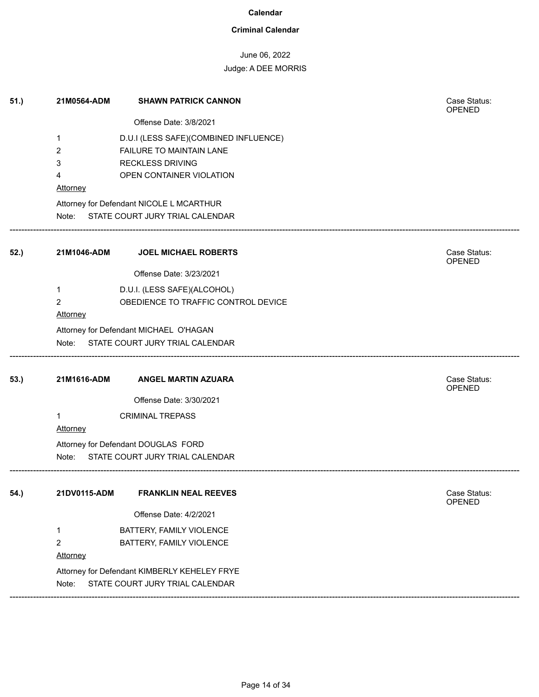### **Criminal Calendar**

# June 06, 2022

### Judge: A DEE MORRIS

| 51.) | 21M0564-ADM     | <b>SHAWN PATRICK CANNON</b>                  | Case Status:<br>OPENED |
|------|-----------------|----------------------------------------------|------------------------|
|      |                 | Offense Date: 3/8/2021                       |                        |
|      | 1               | D.U.I (LESS SAFE)(COMBINED INFLUENCE)        |                        |
|      | 2               | FAILURE TO MAINTAIN LANE                     |                        |
|      | 3               | <b>RECKLESS DRIVING</b>                      |                        |
|      | 4               | OPEN CONTAINER VIOLATION                     |                        |
|      | <b>Attorney</b> |                                              |                        |
|      |                 | Attorney for Defendant NICOLE L MCARTHUR     |                        |
|      |                 | Note: STATE COURT JURY TRIAL CALENDAR        |                        |
| 52.) | 21M1046-ADM     | <b>JOEL MICHAEL ROBERTS</b>                  | Case Status:<br>OPENED |
|      |                 | Offense Date: 3/23/2021                      |                        |
|      | 1               | D.U.I. (LESS SAFE)(ALCOHOL)                  |                        |
|      | 2               | OBEDIENCE TO TRAFFIC CONTROL DEVICE          |                        |
|      | Attorney        |                                              |                        |
|      |                 | Attorney for Defendant MICHAEL O'HAGAN       |                        |
|      |                 | Note: STATE COURT JURY TRIAL CALENDAR        |                        |
| 53.) | 21M1616-ADM     | <b>ANGEL MARTIN AZUARA</b>                   | Case Status:<br>OPENED |
|      |                 | Offense Date: 3/30/2021                      |                        |
|      | $\mathbf{1}$    | <b>CRIMINAL TREPASS</b>                      |                        |
|      | Attorney        |                                              |                        |
|      |                 | Attorney for Defendant DOUGLAS FORD          |                        |
|      | Note:           | STATE COURT JURY TRIAL CALENDAR              |                        |
| 54.) | 21DV0115-ADM    | <b>FRANKLIN NEAL REEVES</b>                  | Case Status:           |
|      |                 |                                              | <b>OPENED</b>          |
|      |                 | Offense Date: 4/2/2021                       |                        |
|      | 1               | BATTERY, FAMILY VIOLENCE                     |                        |
|      | 2               | BATTERY, FAMILY VIOLENCE                     |                        |
|      | Attorney        |                                              |                        |
|      |                 | Attorney for Defendant KIMBERLY KEHELEY FRYE |                        |
|      | Note:           | STATE COURT JURY TRIAL CALENDAR              |                        |

------------------------------------------------------------------------------------------------------------------------------------------------------------------------------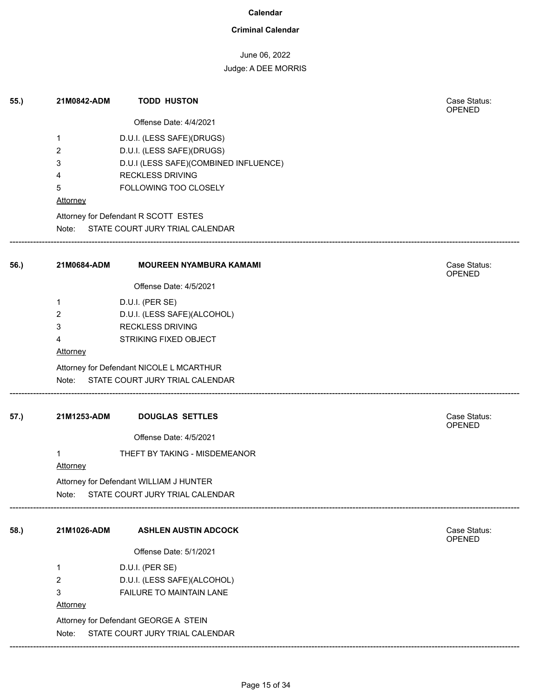### **Criminal Calendar**

# June 06, 2022

# Judge: A DEE MORRIS

| 55.) | 21M0842-ADM     | <b>TODD HUSTON</b>                       | Case Status:<br>OPENED        |
|------|-----------------|------------------------------------------|-------------------------------|
|      |                 | Offense Date: 4/4/2021                   |                               |
|      | 1               | D.U.I. (LESS SAFE)(DRUGS)                |                               |
|      | 2               | D.U.I. (LESS SAFE)(DRUGS)                |                               |
|      | 3               | D.U.I (LESS SAFE)(COMBINED INFLUENCE)    |                               |
|      | 4               | <b>RECKLESS DRIVING</b>                  |                               |
|      | 5               | FOLLOWING TOO CLOSELY                    |                               |
|      | Attorney        |                                          |                               |
|      |                 | Attorney for Defendant R SCOTT ESTES     |                               |
|      | Note:           | STATE COURT JURY TRIAL CALENDAR          |                               |
| 56.) | 21M0684-ADM     | <b>MOUREEN NYAMBURA KAMAMI</b>           | Case Status:<br><b>OPENED</b> |
|      |                 | Offense Date: 4/5/2021                   |                               |
|      | 1               | D.U.I. (PER SE)                          |                               |
|      | 2               | D.U.I. (LESS SAFE)(ALCOHOL)              |                               |
|      | 3               | <b>RECKLESS DRIVING</b>                  |                               |
|      | 4               | STRIKING FIXED OBJECT                    |                               |
|      | <b>Attorney</b> |                                          |                               |
|      |                 | Attorney for Defendant NICOLE L MCARTHUR |                               |
|      |                 | Note: STATE COURT JURY TRIAL CALENDAR    |                               |
| 57.) | 21M1253-ADM     | <b>DOUGLAS SETTLES</b>                   | Case Status:                  |
|      |                 | Offense Date: 4/5/2021                   | OPENED                        |
|      | 1               | THEFT BY TAKING - MISDEMEANOR            |                               |
|      | <b>Attorney</b> |                                          |                               |
|      |                 | Attorney for Defendant WILLIAM J HUNTER  |                               |
|      | Note:           | STATE COURT JURY TRIAL CALENDAR          |                               |
| 58.) | 21M1026-ADM     | <b>ASHLEN AUSTIN ADCOCK</b>              | Case Status:                  |
|      |                 | Offense Date: 5/1/2021                   | OPENED                        |
|      | 1               | D.U.I. (PER SE)                          |                               |
|      | 2               | D.U.I. (LESS SAFE)(ALCOHOL)              |                               |
|      | 3               | FAILURE TO MAINTAIN LANE                 |                               |
|      | Attorney        |                                          |                               |
|      |                 | Attorney for Defendant GEORGE A STEIN    |                               |
|      | Note:           | STATE COURT JURY TRIAL CALENDAR          |                               |

------------------------------------------------------------------------------------------------------------------------------------------------------------------------------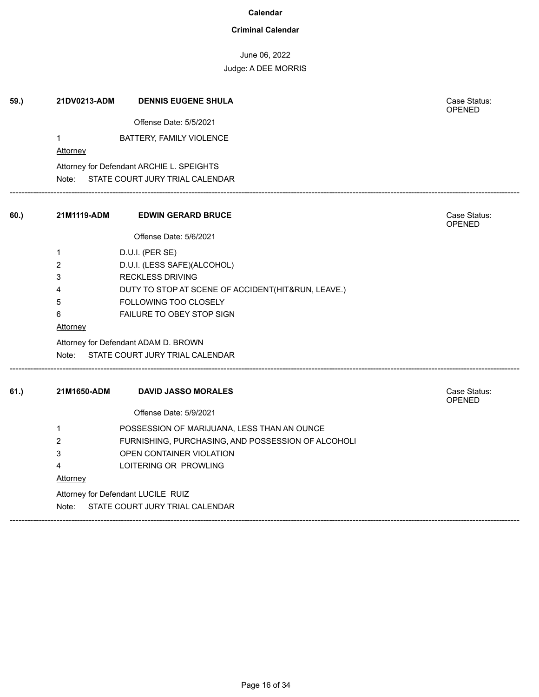### **Criminal Calendar**

June 06, 2022

| 59.) | 21DV0213-ADM    | <b>DENNIS EUGENE SHULA</b>                         | Case Status:<br>OPENED        |
|------|-----------------|----------------------------------------------------|-------------------------------|
|      |                 | Offense Date: 5/5/2021                             |                               |
|      | 1               | BATTERY, FAMILY VIOLENCE                           |                               |
|      | Attorney        |                                                    |                               |
|      |                 | Attorney for Defendant ARCHIE L. SPEIGHTS          |                               |
|      |                 | Note: STATE COURT JURY TRIAL CALENDAR              |                               |
| 60.) | 21M1119-ADM     | <b>EDWIN GERARD BRUCE</b>                          | Case Status:<br><b>OPENED</b> |
|      |                 | Offense Date: 5/6/2021                             |                               |
|      | $\mathbf{1}$    | D.U.I. (PER SE)                                    |                               |
|      | $\overline{c}$  | D.U.I. (LESS SAFE)(ALCOHOL)                        |                               |
|      | 3               | <b>RECKLESS DRIVING</b>                            |                               |
|      | 4               | DUTY TO STOP AT SCENE OF ACCIDENT(HIT&RUN, LEAVE.) |                               |
|      | 5               | FOLLOWING TOO CLOSELY                              |                               |
|      | 6               | FAILURE TO OBEY STOP SIGN                          |                               |
|      | <b>Attorney</b> |                                                    |                               |
|      |                 | Attorney for Defendant ADAM D. BROWN               |                               |
|      |                 | Note: STATE COURT JURY TRIAL CALENDAR              |                               |
| 61.) | 21M1650-ADM     | <b>DAVID JASSO MORALES</b>                         | Case Status:                  |
|      |                 |                                                    | OPENED                        |
|      |                 | Offense Date: 5/9/2021                             |                               |
|      | 1               | POSSESSION OF MARIJUANA, LESS THAN AN OUNCE        |                               |
|      | 2               | FURNISHING, PURCHASING, AND POSSESSION OF ALCOHOLI |                               |
|      | 3               | OPEN CONTAINER VIOLATION                           |                               |
|      | 4               | LOITERING OR PROWLING                              |                               |
|      | <b>Attorney</b> |                                                    |                               |
|      |                 | Attorney for Defendant LUCILE RUIZ                 |                               |
|      | Note:           | STATE COURT JURY TRIAL CALENDAR                    |                               |
|      |                 |                                                    |                               |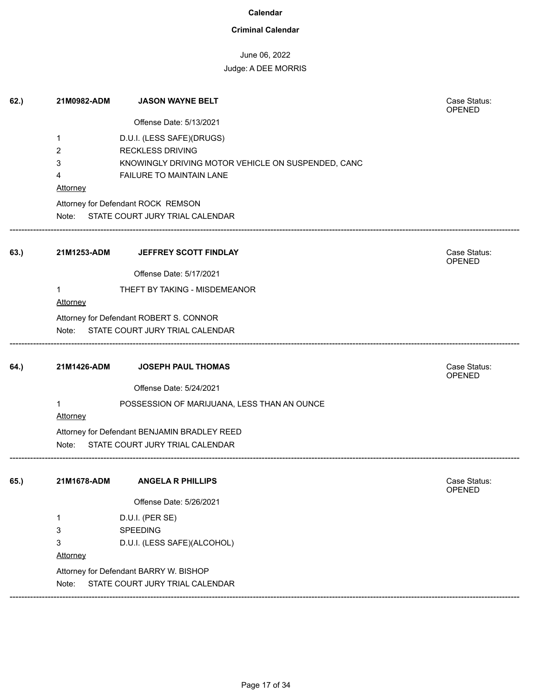### **Criminal Calendar**

# June 06, 2022

| 62.) | 21M0982-ADM          | <b>JASON WAYNE BELT</b>                            | Case Status:<br><b>OPENED</b> |
|------|----------------------|----------------------------------------------------|-------------------------------|
|      |                      | Offense Date: 5/13/2021                            |                               |
|      | 1                    | D.U.I. (LESS SAFE)(DRUGS)                          |                               |
|      | 2                    | <b>RECKLESS DRIVING</b>                            |                               |
|      | 3                    | KNOWINGLY DRIVING MOTOR VEHICLE ON SUSPENDED, CANC |                               |
|      | 4                    | FAILURE TO MAINTAIN LANE                           |                               |
|      | <b>Attorney</b>      |                                                    |                               |
|      |                      | Attorney for Defendant ROCK REMSON                 |                               |
|      |                      | Note: STATE COURT JURY TRIAL CALENDAR              |                               |
| 63.) | 21M1253-ADM          | JEFFREY SCOTT FINDLAY                              | Case Status:<br>OPENED        |
|      |                      | Offense Date: 5/17/2021                            |                               |
|      | $\mathbf{1}$         | THEFT BY TAKING - MISDEMEANOR                      |                               |
|      | Attorney             |                                                    |                               |
|      |                      | Attorney for Defendant ROBERT S. CONNOR            |                               |
|      |                      | Note: STATE COURT JURY TRIAL CALENDAR              |                               |
|      |                      |                                                    |                               |
| 64.) | 21M1426-ADM          | <b>JOSEPH PAUL THOMAS</b>                          | Case Status:<br>OPENED        |
|      |                      | Offense Date: 5/24/2021                            |                               |
|      | 1<br><b>Attorney</b> | POSSESSION OF MARIJUANA, LESS THAN AN OUNCE        |                               |
|      |                      | Attorney for Defendant BENJAMIN BRADLEY REED       |                               |
|      | Note:                | STATE COURT JURY TRIAL CALENDAR                    |                               |
| 65.) | 21M1678-ADM          | <b>ANGELA R PHILLIPS</b>                           | Case Status:                  |
|      |                      |                                                    | OPENED                        |
|      |                      | Offense Date: 5/26/2021                            |                               |
|      | 1                    | D.U.I. (PER SE)                                    |                               |
|      | 3                    | SPEEDING                                           |                               |
|      | 3                    | D.U.I. (LESS SAFE)(ALCOHOL)                        |                               |
|      | Attorney             |                                                    |                               |
|      |                      |                                                    |                               |
|      |                      | Attorney for Defendant BARRY W. BISHOP             |                               |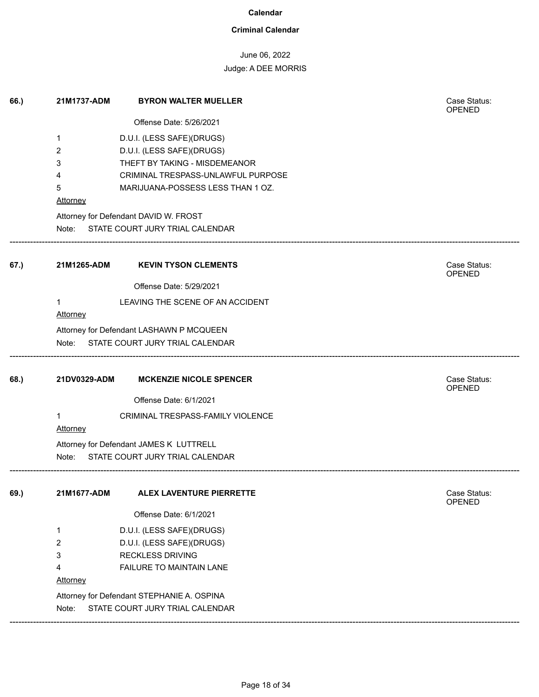### **Criminal Calendar**

### June 06, 2022

### Judge: A DEE MORRIS

| 66.) | 21M1737-ADM             | <b>BYRON WALTER MUELLER</b>                | Case Status:<br>OPENED        |
|------|-------------------------|--------------------------------------------|-------------------------------|
|      |                         | Offense Date: 5/26/2021                    |                               |
|      | 1                       | D.U.I. (LESS SAFE)(DRUGS)                  |                               |
|      | 2                       | D.U.I. (LESS SAFE)(DRUGS)                  |                               |
|      | 3                       | THEFT BY TAKING - MISDEMEANOR              |                               |
|      | 4                       | CRIMINAL TRESPASS-UNLAWFUL PURPOSE         |                               |
|      | 5                       | MARIJUANA-POSSESS LESS THAN 1 OZ.          |                               |
|      | Attorney                |                                            |                               |
|      |                         | Attorney for Defendant DAVID W. FROST      |                               |
|      | Note:                   | STATE COURT JURY TRIAL CALENDAR            |                               |
| 67.) | 21M1265-ADM             | <b>KEVIN TYSON CLEMENTS</b>                | Case Status:<br>OPENED        |
|      |                         | Offense Date: 5/29/2021                    |                               |
|      | $\mathbf 1$<br>Attorney | LEAVING THE SCENE OF AN ACCIDENT           |                               |
|      |                         | Attorney for Defendant LASHAWN P MCQUEEN   |                               |
|      |                         | Note: STATE COURT JURY TRIAL CALENDAR      |                               |
| 68.) | 21DV0329-ADM            | <b>MCKENZIE NICOLE SPENCER</b>             | Case Status:<br>OPENED        |
|      |                         | Offense Date: 6/1/2021                     |                               |
|      | 1<br>Attorney           | CRIMINAL TRESPASS-FAMILY VIOLENCE          |                               |
|      |                         | Attorney for Defendant JAMES K LUTTRELL    |                               |
|      | Note:                   | STATE COURT JURY TRIAL CALENDAR            |                               |
| 69.) | 21M1677-ADM             | ALEX LAVENTURE PIERRETTE                   | Case Status:<br><b>OPENED</b> |
|      |                         | Offense Date: 6/1/2021                     |                               |
|      | 1                       | D.U.I. (LESS SAFE)(DRUGS)                  |                               |
|      | 2                       | D.U.I. (LESS SAFE)(DRUGS)                  |                               |
|      | 3                       | <b>RECKLESS DRIVING</b>                    |                               |
|      | 4                       | FAILURE TO MAINTAIN LANE                   |                               |
|      | Attorney                |                                            |                               |
|      |                         | Attorney for Defendant STEPHANIE A. OSPINA |                               |
|      | Note:                   | STATE COURT JURY TRIAL CALENDAR            |                               |

------------------------------------------------------------------------------------------------------------------------------------------------------------------------------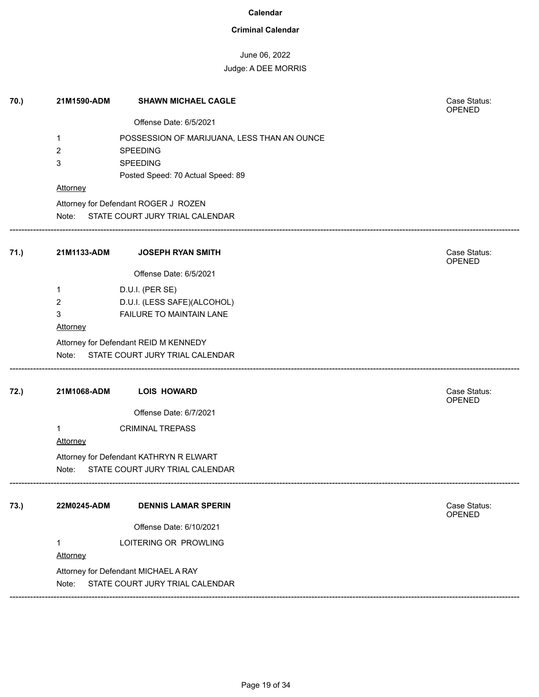### **Criminal Calendar**

# June 06, 2022

# Judge: A DEE MORRIS

| 70.) | 21M1590-ADM     | <b>SHAWN MICHAEL CAGLE</b>                  | Case Status:<br>OPENED |
|------|-----------------|---------------------------------------------|------------------------|
|      |                 | Offense Date: 6/5/2021                      |                        |
|      | 1               | POSSESSION OF MARIJUANA, LESS THAN AN OUNCE |                        |
|      | 2               | <b>SPEEDING</b>                             |                        |
|      | 3               | <b>SPEEDING</b>                             |                        |
|      |                 | Posted Speed: 70 Actual Speed: 89           |                        |
|      | Attorney        |                                             |                        |
|      |                 | Attorney for Defendant ROGER J ROZEN        |                        |
|      |                 | Note: STATE COURT JURY TRIAL CALENDAR       |                        |
| 71.) | 21M1133-ADM     | <b>JOSEPH RYAN SMITH</b>                    | Case Status:<br>OPENED |
|      |                 | Offense Date: 6/5/2021                      |                        |
|      | 1               | D.U.I. (PER SE)                             |                        |
|      | 2               | D.U.I. (LESS SAFE)(ALCOHOL)                 |                        |
|      | 3               | FAILURE TO MAINTAIN LANE                    |                        |
|      | Attorney        |                                             |                        |
|      |                 | Attorney for Defendant REID M KENNEDY       |                        |
|      | Note:           | STATE COURT JURY TRIAL CALENDAR             |                        |
| 72.) | 21M1068-ADM     | <b>LOIS HOWARD</b>                          | Case Status:<br>OPENED |
|      |                 | Offense Date: 6/7/2021                      |                        |
|      | 1               | <b>CRIMINAL TREPASS</b>                     |                        |
|      | Attorney        |                                             |                        |
|      |                 | Attorney for Defendant KATHRYN R ELWART     |                        |
|      | Note:           | STATE COURT JURY TRIAL CALENDAR             |                        |
| 73.) | 22M0245-ADM     | <b>DENNIS LAMAR SPERIN</b>                  | Case Status:           |
|      |                 |                                             | OPENED                 |
|      |                 | Offense Date: 6/10/2021                     |                        |
|      | 1               | LOITERING OR PROWLING                       |                        |
|      | <b>Attorney</b> |                                             |                        |
|      |                 | Attorney for Defendant MICHAEL A RAY        |                        |
|      | Note:           | STATE COURT JURY TRIAL CALENDAR             |                        |

------------------------------------------------------------------------------------------------------------------------------------------------------------------------------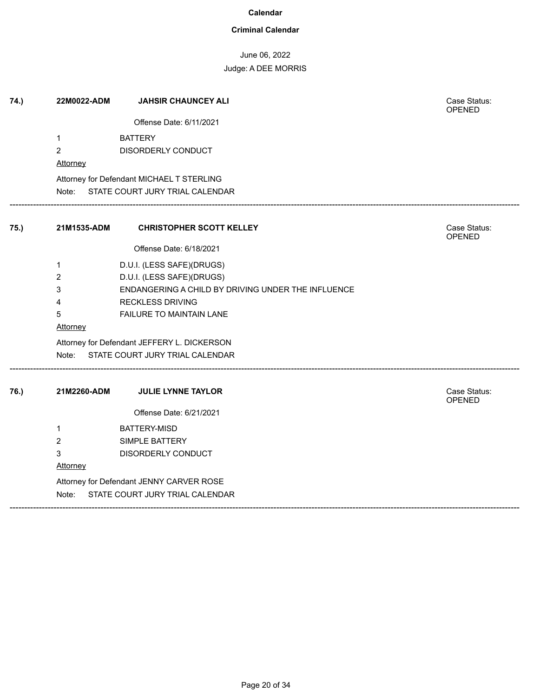### **Criminal Calendar**

June 06, 2022

| 74.) | 22M0022-ADM     | <b>JAHSIR CHAUNCEY ALI</b>                         | Case Status:<br><b>OPENED</b> |
|------|-----------------|----------------------------------------------------|-------------------------------|
|      |                 | Offense Date: 6/11/2021                            |                               |
|      | $\mathbf{1}$    | <b>BATTERY</b>                                     |                               |
|      | $\overline{c}$  | DISORDERLY CONDUCT                                 |                               |
|      | Attorney        |                                                    |                               |
|      |                 | Attorney for Defendant MICHAEL T STERLING          |                               |
|      |                 | Note: STATE COURT JURY TRIAL CALENDAR              |                               |
| 75.) | 21M1535-ADM     | <b>CHRISTOPHER SCOTT KELLEY</b>                    | Case Status:                  |
|      |                 |                                                    | OPENED                        |
|      |                 | Offense Date: 6/18/2021                            |                               |
|      | 1               | D.U.I. (LESS SAFE)(DRUGS)                          |                               |
|      | 2               | D.U.I. (LESS SAFE)(DRUGS)                          |                               |
|      | 3               | ENDANGERING A CHILD BY DRIVING UNDER THE INFLUENCE |                               |
|      | 4               | <b>RECKLESS DRIVING</b>                            |                               |
|      | 5               | FAILURE TO MAINTAIN LANE                           |                               |
|      | <b>Attorney</b> |                                                    |                               |
|      |                 | Attorney for Defendant JEFFERY L. DICKERSON        |                               |
|      |                 | Note: STATE COURT JURY TRIAL CALENDAR              |                               |
| 76.) | 21M2260-ADM     | <b>JULIE LYNNE TAYLOR</b>                          | Case Status:                  |
|      |                 |                                                    | OPENED                        |
|      |                 | Offense Date: 6/21/2021                            |                               |
|      | $\mathbf{1}$    | <b>BATTERY-MISD</b>                                |                               |
|      | $\overline{2}$  | SIMPLE BATTERY                                     |                               |
|      | 3               | DISORDERLY CONDUCT                                 |                               |
|      | Attorney        |                                                    |                               |
|      |                 | Attorney for Defendant JENNY CARVER ROSE           |                               |
|      | Note:           | STATE COURT JURY TRIAL CALENDAR                    |                               |
|      |                 |                                                    |                               |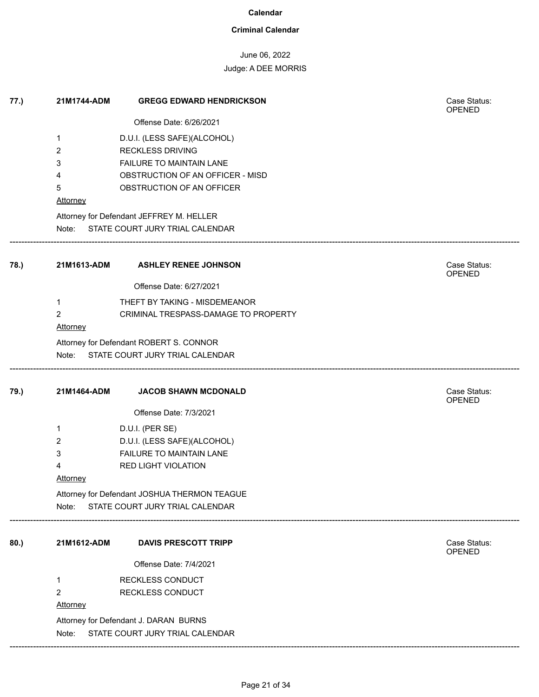### **Criminal Calendar**

## June 06, 2022

| Case Status:<br><b>OPENED</b> |
|-------------------------------|
|                               |
|                               |
|                               |
|                               |
|                               |
|                               |
|                               |
|                               |
|                               |
|                               |
|                               |
|                               |
|                               |
|                               |
| Case Status:<br><b>OPENED</b> |
|                               |
|                               |
|                               |
|                               |
|                               |
|                               |
|                               |
|                               |
| Case Status:<br>OPENED        |
|                               |
|                               |
|                               |
|                               |
|                               |
|                               |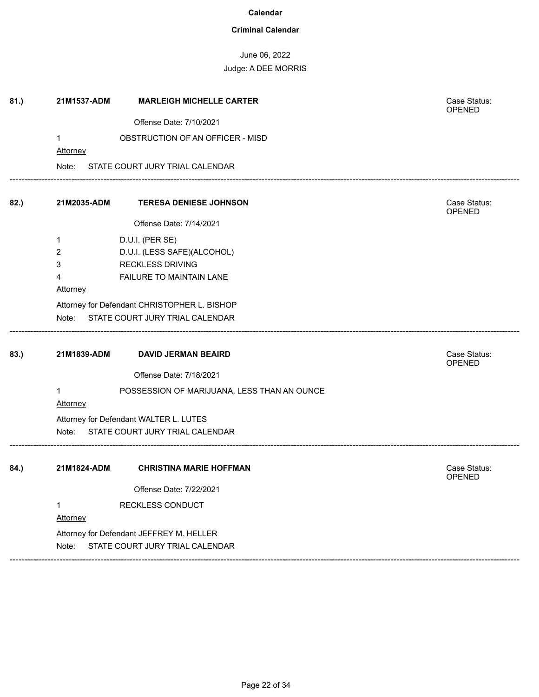### **Criminal Calendar**

June 06, 2022 Judge: A DEE MORRIS

| 81.) | 21M1537-ADM     | <b>MARLEIGH MICHELLE CARTER</b>                                             | Case Status:<br><b>OPENED</b> |
|------|-----------------|-----------------------------------------------------------------------------|-------------------------------|
|      |                 | Offense Date: 7/10/2021                                                     |                               |
|      | 1               | OBSTRUCTION OF AN OFFICER - MISD                                            |                               |
|      | <b>Attorney</b> |                                                                             |                               |
|      | Note:           | STATE COURT JURY TRIAL CALENDAR                                             |                               |
| 82.) | 21M2035-ADM     | <b>TERESA DENIESE JOHNSON</b>                                               | Case Status:<br>OPENED        |
|      |                 | Offense Date: 7/14/2021                                                     |                               |
|      | 1               | D.U.I. (PER SE)                                                             |                               |
|      | 2               | D.U.I. (LESS SAFE)(ALCOHOL)                                                 |                               |
|      | 3               | RECKLESS DRIVING                                                            |                               |
|      | 4               | FAILURE TO MAINTAIN LANE                                                    |                               |
|      | Attorney        |                                                                             |                               |
|      |                 | Attorney for Defendant CHRISTOPHER L. BISHOP                                |                               |
|      | Note:           | STATE COURT JURY TRIAL CALENDAR                                             |                               |
|      |                 |                                                                             |                               |
| 83.) | 21M1839-ADM     | <b>DAVID JERMAN BEAIRD</b>                                                  | Case Status:<br>OPENED        |
|      |                 | Offense Date: 7/18/2021                                                     |                               |
|      |                 |                                                                             |                               |
|      | 1<br>Attorney   | POSSESSION OF MARIJUANA, LESS THAN AN OUNCE                                 |                               |
|      |                 |                                                                             |                               |
|      | Note:           | Attorney for Defendant WALTER L. LUTES<br>STATE COURT JURY TRIAL CALENDAR   |                               |
|      |                 |                                                                             |                               |
| 84.) | 21M1824-ADM     | <b>CHRISTINA MARIE HOFFMAN</b>                                              | Case Status:                  |
|      |                 | Offense Date: 7/22/2021                                                     | <b>OPENED</b>                 |
|      | 1               |                                                                             |                               |
|      |                 | RECKLESS CONDUCT                                                            |                               |
|      | Attorney        |                                                                             |                               |
|      | Note:           | Attorney for Defendant JEFFREY M. HELLER<br>STATE COURT JURY TRIAL CALENDAR |                               |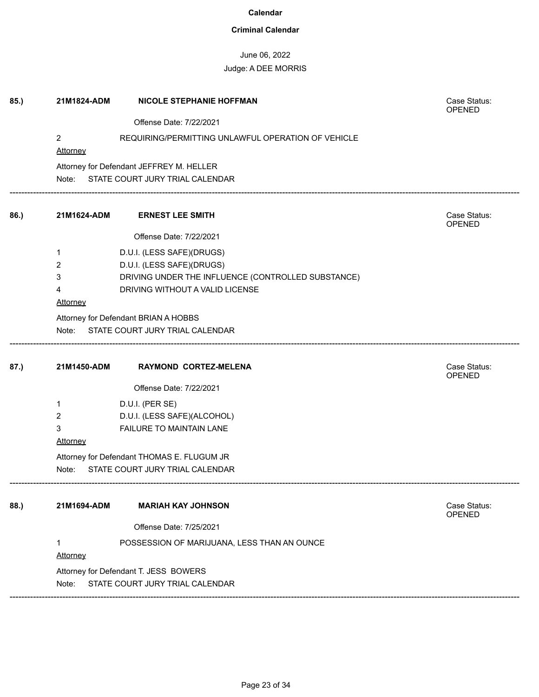### **Criminal Calendar**

June 06, 2022

## Judge: A DEE MORRIS

| 85.) | 21M1824-ADM                       | <b>NICOLE STEPHANIE HOFFMAN</b>                    | Case Status:<br><b>OPENED</b> |
|------|-----------------------------------|----------------------------------------------------|-------------------------------|
|      |                                   | Offense Date: 7/22/2021                            |                               |
|      | $\overline{2}$<br><b>Attorney</b> | REQUIRING/PERMITTING UNLAWFUL OPERATION OF VEHICLE |                               |
|      |                                   | Attorney for Defendant JEFFREY M. HELLER           |                               |
|      |                                   | Note: STATE COURT JURY TRIAL CALENDAR              |                               |
| 86.) | 21M1624-ADM                       | <b>ERNEST LEE SMITH</b>                            | Case Status:<br>OPENED        |
|      |                                   | Offense Date: 7/22/2021                            |                               |
|      | 1                                 | D.U.I. (LESS SAFE)(DRUGS)                          |                               |
|      | 2                                 | D.U.I. (LESS SAFE)(DRUGS)                          |                               |
|      | 3                                 | DRIVING UNDER THE INFLUENCE (CONTROLLED SUBSTANCE) |                               |
|      | 4                                 | DRIVING WITHOUT A VALID LICENSE                    |                               |
|      | Attorney                          |                                                    |                               |
|      |                                   | Attorney for Defendant BRIAN A HOBBS               |                               |
|      | Note:                             | STATE COURT JURY TRIAL CALENDAR                    |                               |
|      |                                   |                                                    |                               |
|      |                                   |                                                    |                               |
| 87.) | 21M1450-ADM                       | RAYMOND CORTEZ-MELENA                              | Case Status:<br><b>OPENED</b> |
|      |                                   | Offense Date: 7/22/2021                            |                               |
|      | 1                                 | D.U.I. (PER SE)                                    |                               |
|      | $\overline{2}$                    | D.U.I. (LESS SAFE)(ALCOHOL)                        |                               |
|      | 3                                 | <b>FAILURE TO MAINTAIN LANE</b>                    |                               |
|      | <b>Attorney</b>                   |                                                    |                               |
|      |                                   | Attorney for Defendant THOMAS E. FLUGUM JR         |                               |
|      | Note:                             | STATE COURT JURY TRIAL CALENDAR                    |                               |
| 88.) | 21M1694-ADM                       | <b>MARIAH KAY JOHNSON</b>                          | Case Status:                  |
|      |                                   |                                                    | OPENED                        |
|      |                                   | Offense Date: 7/25/2021                            |                               |
|      | $\mathbf{1}$<br><b>Attorney</b>   | POSSESSION OF MARIJUANA, LESS THAN AN OUNCE        |                               |
|      |                                   | Attorney for Defendant T. JESS BOWERS              |                               |

------------------------------------------------------------------------------------------------------------------------------------------------------------------------------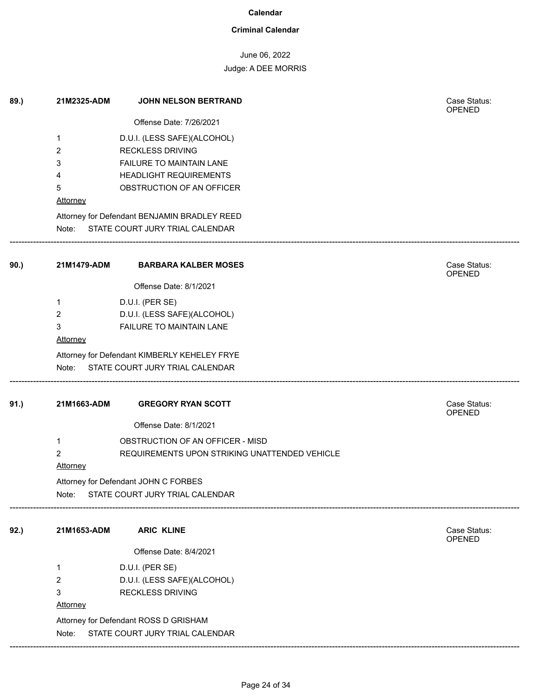### **Criminal Calendar**

# June 06, 2022

| 89.) | 21M2325-ADM<br>1<br>2<br>3<br>4<br>5<br><b>Attorney</b><br>Note: | <b>JOHN NELSON BERTRAND</b><br>Offense Date: 7/26/2021<br>D.U.I. (LESS SAFE)(ALCOHOL)<br><b>RECKLESS DRIVING</b><br><b>FAILURE TO MAINTAIN LANE</b><br><b>HEADLIGHT REQUIREMENTS</b><br>OBSTRUCTION OF AN OFFICER<br>Attorney for Defendant BENJAMIN BRADLEY REED<br>STATE COURT JURY TRIAL CALENDAR | Case Status:<br><b>OPENED</b> |
|------|------------------------------------------------------------------|------------------------------------------------------------------------------------------------------------------------------------------------------------------------------------------------------------------------------------------------------------------------------------------------------|-------------------------------|
| 90.) | 21M1479-ADM<br>1<br>2<br>3<br><b>Attorney</b><br>Note:           | <b>BARBARA KALBER MOSES</b><br>Offense Date: 8/1/2021<br>D.U.I. (PER SE)<br>D.U.I. (LESS SAFE)(ALCOHOL)<br>FAILURE TO MAINTAIN LANE<br>Attorney for Defendant KIMBERLY KEHELEY FRYE<br>STATE COURT JURY TRIAL CALENDAR                                                                               | Case Status:<br>OPENED        |
| 91.) | 21M1663-ADM<br>1<br>2<br><b>Attorney</b><br>Note:                | <b>GREGORY RYAN SCOTT</b><br>Offense Date: 8/1/2021<br>OBSTRUCTION OF AN OFFICER - MISD<br>REQUIREMENTS UPON STRIKING UNATTENDED VEHICLE<br>Attorney for Defendant JOHN C FORBES<br>STATE COURT JURY TRIAL CALENDAR                                                                                  | Case Status:<br><b>OPENED</b> |
| 92.) | 21M1653-ADM<br>1<br>2<br>3<br><b>Attorney</b><br>Note:           | <b>ARIC KLINE</b><br>Offense Date: 8/4/2021<br>D.U.I. (PER SE)<br>D.U.I. (LESS SAFE)(ALCOHOL)<br><b>RECKLESS DRIVING</b><br>Attorney for Defendant ROSS D GRISHAM<br>STATE COURT JURY TRIAL CALENDAR                                                                                                 | Case Status:<br>OPENED        |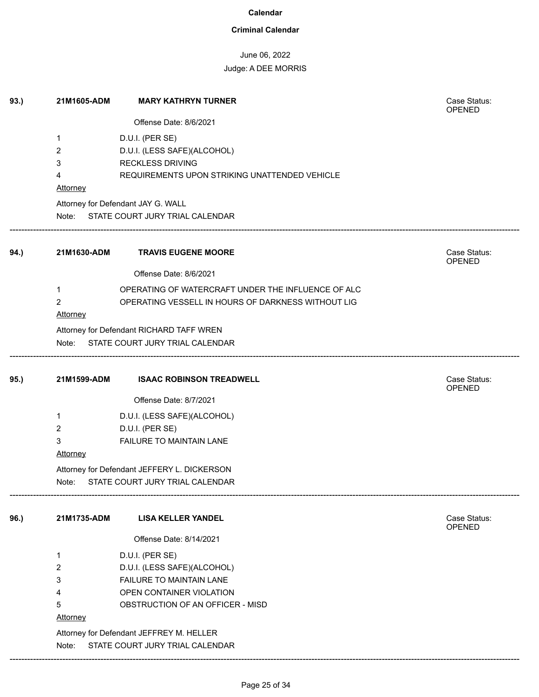### **Criminal Calendar**

# June 06, 2022

| 93.) | 21M1605-ADM     | <b>MARY KATHRYN TURNER</b>                         | Case Status:<br>OPENED        |
|------|-----------------|----------------------------------------------------|-------------------------------|
|      |                 | Offense Date: 8/6/2021                             |                               |
|      | 1               | D.U.I. (PER SE)                                    |                               |
|      | 2               | D.U.I. (LESS SAFE)(ALCOHOL)                        |                               |
|      | 3               | <b>RECKLESS DRIVING</b>                            |                               |
|      | 4               | REQUIREMENTS UPON STRIKING UNATTENDED VEHICLE      |                               |
|      | <b>Attorney</b> |                                                    |                               |
|      |                 | Attorney for Defendant JAY G. WALL                 |                               |
|      |                 | Note: STATE COURT JURY TRIAL CALENDAR              |                               |
| 94.) | 21M1630-ADM     | <b>TRAVIS EUGENE MOORE</b>                         | Case Status:<br><b>OPENED</b> |
|      |                 | Offense Date: 8/6/2021                             |                               |
|      | $\mathbf 1$     | OPERATING OF WATERCRAFT UNDER THE INFLUENCE OF ALC |                               |
|      | $\overline{2}$  | OPERATING VESSELL IN HOURS OF DARKNESS WITHOUT LIG |                               |
|      | <b>Attorney</b> |                                                    |                               |
|      |                 | Attorney for Defendant RICHARD TAFF WREN           |                               |
|      | Note:           | STATE COURT JURY TRIAL CALENDAR                    |                               |
| 95.) | 21M1599-ADM     | <b>ISAAC ROBINSON TREADWELL</b>                    | Case Status:<br><b>OPENED</b> |
|      |                 | Offense Date: 8/7/2021                             |                               |
|      | 1               | D.U.I. (LESS SAFE)(ALCOHOL)                        |                               |
|      | 2               | D.U.I. (PER SE)                                    |                               |
|      | 3               | FAILURE TO MAINTAIN LANE                           |                               |
|      | Attorney        |                                                    |                               |
|      |                 | Attorney for Defendant JEFFERY L. DICKERSON        |                               |
|      | Note:           | STATE COURT JURY TRIAL CALENDAR                    |                               |
| 96.) | 21M1735-ADM     | <b>LISA KELLER YANDEL</b>                          | Case Status:<br>OPENED        |
|      |                 | Offense Date: 8/14/2021                            |                               |
|      | 1               | D.U.I. (PER SE)                                    |                               |
|      | 2               | D.U.I. (LESS SAFE)(ALCOHOL)                        |                               |
|      | 3               | FAILURE TO MAINTAIN LANE                           |                               |
|      | 4               | OPEN CONTAINER VIOLATION                           |                               |
|      | 5               | OBSTRUCTION OF AN OFFICER - MISD                   |                               |
|      | <b>Attorney</b> |                                                    |                               |
|      |                 | Attorney for Defendant JEFFREY M. HELLER           |                               |
|      | Note:           | STATE COURT JURY TRIAL CALENDAR                    |                               |
|      |                 |                                                    |                               |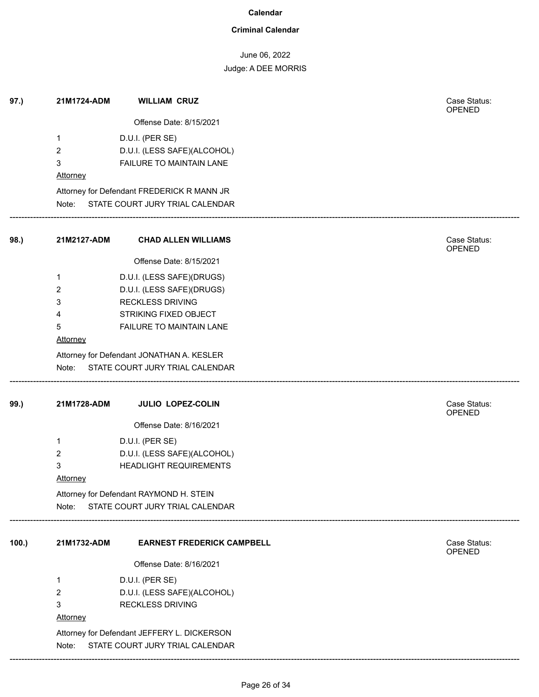### **Criminal Calendar**

June 06, 2022

| 97.) | 21M1724-ADM                             | <b>WILLIAM CRUZ</b>                         | Case Status:<br>OPENED        |
|------|-----------------------------------------|---------------------------------------------|-------------------------------|
|      |                                         | Offense Date: 8/15/2021                     |                               |
|      | 1                                       | D.U.I. (PER SE)                             |                               |
|      | $\overline{2}$                          | D.U.I. (LESS SAFE)(ALCOHOL)                 |                               |
|      | 3                                       | FAILURE TO MAINTAIN LANE                    |                               |
|      | <b>Attorney</b>                         |                                             |                               |
|      |                                         | Attorney for Defendant FREDERICK R MANN JR  |                               |
|      | Note:                                   | STATE COURT JURY TRIAL CALENDAR             |                               |
| 98.) | 21M2127-ADM                             | <b>CHAD ALLEN WILLIAMS</b>                  | Case Status:<br>OPENED        |
|      |                                         | Offense Date: 8/15/2021                     |                               |
|      | 1                                       | D.U.I. (LESS SAFE)(DRUGS)                   |                               |
|      | 2                                       | D.U.I. (LESS SAFE)(DRUGS)                   |                               |
|      | 3                                       | <b>RECKLESS DRIVING</b>                     |                               |
|      | 4                                       | STRIKING FIXED OBJECT                       |                               |
|      | 5                                       | FAILURE TO MAINTAIN LANE                    |                               |
|      | Attorney                                |                                             |                               |
|      |                                         | Attorney for Defendant JONATHAN A. KESLER   |                               |
|      | Note:                                   | STATE COURT JURY TRIAL CALENDAR             |                               |
| 99.) | 21M1728-ADM                             | JULIO LOPEZ-COLIN                           | Case Status:<br><b>OPENED</b> |
|      |                                         | Offense Date: 8/16/2021                     |                               |
|      | 1                                       | D.U.I. (PER SE)                             |                               |
|      | 2                                       | D.U.I. (LESS SAFE)(ALCOHOL)                 |                               |
|      | 3                                       | <b>HEADLIGHT REQUIREMENTS</b>               |                               |
|      | <b>Attorney</b>                         |                                             |                               |
|      | Attorney for Defendant RAYMOND H. STEIN |                                             |                               |
|      | Note:                                   | STATE COURT JURY TRIAL CALENDAR             |                               |
| 100. | 21M1732-ADM                             | <b>EARNEST FREDERICK CAMPBELL</b>           | Case Status:<br><b>OPENED</b> |
|      |                                         | Offense Date: 8/16/2021                     |                               |
|      | 1                                       | D.U.I. (PER SE)                             |                               |
|      | $\overline{2}$                          | D.U.I. (LESS SAFE)(ALCOHOL)                 |                               |
|      | 3                                       | <b>RECKLESS DRIVING</b>                     |                               |
|      | <b>Attorney</b>                         |                                             |                               |
|      |                                         | Attorney for Defendant JEFFERY L. DICKERSON |                               |
|      | Note:                                   | STATE COURT JURY TRIAL CALENDAR             |                               |
|      |                                         |                                             |                               |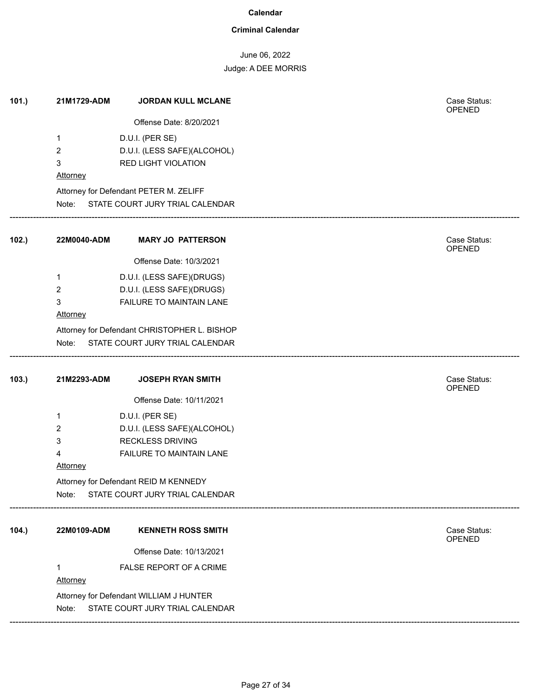### **Criminal Calendar**

# June 06, 2022

| 101.) | 21M1729-ADM                             | <b>JORDAN KULL MCLANE</b>                    | Case Status:<br>OPENED |  |  |
|-------|-----------------------------------------|----------------------------------------------|------------------------|--|--|
|       |                                         | Offense Date: 8/20/2021                      |                        |  |  |
|       | 1                                       | D.U.I. (PER SE)                              |                        |  |  |
|       | $\overline{2}$                          | D.U.I. (LESS SAFE)(ALCOHOL)                  |                        |  |  |
|       | $\mathbf{3}$                            | <b>RED LIGHT VIOLATION</b>                   |                        |  |  |
|       | <b>Attorney</b>                         |                                              |                        |  |  |
|       |                                         | Attorney for Defendant PETER M. ZELIFF       |                        |  |  |
|       |                                         | Note: STATE COURT JURY TRIAL CALENDAR        |                        |  |  |
| 102.  | 22M0040-ADM                             | <b>MARY JO PATTERSON</b>                     | Case Status:<br>OPENED |  |  |
|       |                                         | Offense Date: 10/3/2021                      |                        |  |  |
|       | $\mathbf{1}$                            | D.U.I. (LESS SAFE)(DRUGS)                    |                        |  |  |
|       | $\overline{2}$                          | D.U.I. (LESS SAFE)(DRUGS)                    |                        |  |  |
|       | 3                                       | FAILURE TO MAINTAIN LANE                     |                        |  |  |
|       | Attorney                                |                                              |                        |  |  |
|       |                                         | Attorney for Defendant CHRISTOPHER L. BISHOP |                        |  |  |
|       | Note:                                   | STATE COURT JURY TRIAL CALENDAR              |                        |  |  |
| 103.  | 21M2293-ADM                             | <b>JOSEPH RYAN SMITH</b>                     | Case Status:<br>OPENED |  |  |
|       |                                         | Offense Date: 10/11/2021                     |                        |  |  |
|       | $\mathbf 1$                             | D.U.I. (PER SE)                              |                        |  |  |
|       | $\overline{2}$                          | D.U.I. (LESS SAFE)(ALCOHOL)                  |                        |  |  |
|       | $\mathbf{3}$                            | <b>RECKLESS DRIVING</b>                      |                        |  |  |
|       | 4                                       | FAILURE TO MAINTAIN LANE                     |                        |  |  |
|       | Attorney                                |                                              |                        |  |  |
|       | Attorney for Defendant REID M KENNEDY   |                                              |                        |  |  |
|       | Note:                                   | STATE COURT JURY TRIAL CALENDAR              |                        |  |  |
| 104.  | 22M0109-ADM                             | <b>KENNETH ROSS SMITH</b>                    | Case Status:<br>OPENED |  |  |
|       |                                         | Offense Date: 10/13/2021                     |                        |  |  |
|       | $\mathbf{1}$                            | FALSE REPORT OF A CRIME                      |                        |  |  |
|       | Attorney                                |                                              |                        |  |  |
|       | Attorney for Defendant WILLIAM J HUNTER |                                              |                        |  |  |
|       | Note:                                   | STATE COURT JURY TRIAL CALENDAR              |                        |  |  |
|       |                                         |                                              |                        |  |  |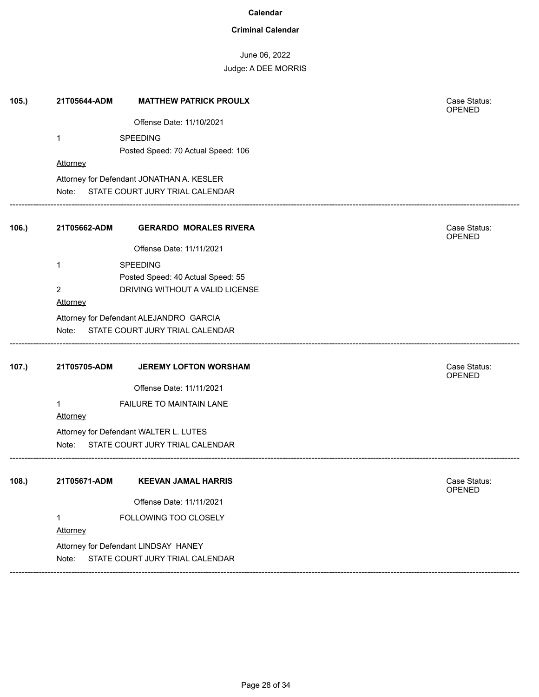### **Criminal Calendar**

# June 06, 2022

| 105.  | 21T05644-ADM    | <b>MATTHEW PATRICK PROULX</b>             | Case Status:<br><b>OPENED</b> |
|-------|-----------------|-------------------------------------------|-------------------------------|
|       |                 | Offense Date: 11/10/2021                  |                               |
|       | 1               | <b>SPEEDING</b>                           |                               |
|       |                 | Posted Speed: 70 Actual Speed: 106        |                               |
|       | Attorney        |                                           |                               |
|       |                 | Attorney for Defendant JONATHAN A. KESLER |                               |
|       | Note:           | STATE COURT JURY TRIAL CALENDAR           |                               |
| 106.) | 21T05662-ADM    | <b>GERARDO MORALES RIVERA</b>             | Case Status:<br><b>OPENED</b> |
|       |                 | Offense Date: 11/11/2021                  |                               |
|       | $\mathbf{1}$    | <b>SPEEDING</b>                           |                               |
|       |                 | Posted Speed: 40 Actual Speed: 55         |                               |
|       | 2               | DRIVING WITHOUT A VALID LICENSE           |                               |
|       | Attorney        |                                           |                               |
|       |                 | Attorney for Defendant ALEJANDRO GARCIA   |                               |
|       | Note:           | STATE COURT JURY TRIAL CALENDAR           |                               |
| 107.) | 21T05705-ADM    | <b>JEREMY LOFTON WORSHAM</b>              | Case Status:<br>OPENED        |
|       |                 | Offense Date: 11/11/2021                  |                               |
|       | 1               | FAILURE TO MAINTAIN LANE                  |                               |
|       | <b>Attorney</b> |                                           |                               |
|       |                 | Attorney for Defendant WALTER L. LUTES    |                               |
|       | Note:           | STATE COURT JURY TRIAL CALENDAR           |                               |
| 108.  | 21T05671-ADM    | <b>KEEVAN JAMAL HARRIS</b>                | Case Status:                  |
|       |                 |                                           | <b>OPENED</b>                 |
|       |                 | Offense Date: 11/11/2021                  |                               |
|       | $\mathbf{1}$    | FOLLOWING TOO CLOSELY                     |                               |
|       | Attorney        |                                           |                               |
|       |                 | Attorney for Defendant LINDSAY HANEY      |                               |
|       | Note:           | STATE COURT JURY TRIAL CALENDAR           |                               |
|       |                 |                                           |                               |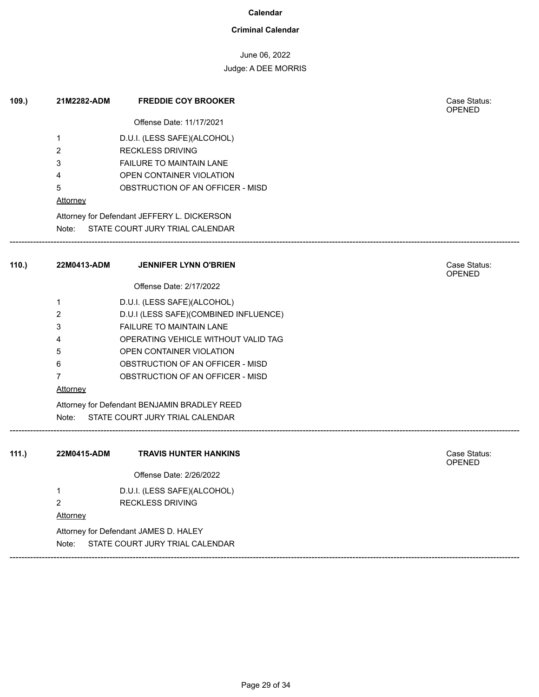### **Criminal Calendar**

### June 06, 2022

| 109.  | 21M2282-ADM     | <b>FREDDIE COY BROOKER</b>                   | Case Status:<br><b>OPENED</b> |
|-------|-----------------|----------------------------------------------|-------------------------------|
|       |                 | Offense Date: 11/17/2021                     |                               |
|       | 1               | D.U.I. (LESS SAFE)(ALCOHOL)                  |                               |
|       | 2               | <b>RECKLESS DRIVING</b>                      |                               |
|       | 3               | FAILURE TO MAINTAIN LANE                     |                               |
|       | 4               | OPEN CONTAINER VIOLATION                     |                               |
|       | 5               | OBSTRUCTION OF AN OFFICER - MISD             |                               |
|       | <b>Attorney</b> |                                              |                               |
|       |                 | Attorney for Defendant JEFFERY L. DICKERSON  |                               |
|       |                 | Note: STATE COURT JURY TRIAL CALENDAR        |                               |
| 110.) | 22M0413-ADM     | <b>JENNIFER LYNN O'BRIEN</b>                 | Case Status:<br><b>OPENED</b> |
|       |                 | Offense Date: 2/17/2022                      |                               |
|       | 1               | D.U.I. (LESS SAFE)(ALCOHOL)                  |                               |
|       | 2               | D.U.I (LESS SAFE)(COMBINED INFLUENCE)        |                               |
|       | 3               | FAILURE TO MAINTAIN LANE                     |                               |
|       | 4               | OPERATING VEHICLE WITHOUT VALID TAG          |                               |
|       | 5               | OPEN CONTAINER VIOLATION                     |                               |
|       | 6               | OBSTRUCTION OF AN OFFICER - MISD             |                               |
|       | 7               | OBSTRUCTION OF AN OFFICER - MISD             |                               |
|       | <b>Attorney</b> |                                              |                               |
|       |                 | Attorney for Defendant BENJAMIN BRADLEY REED |                               |
|       | Note:           | STATE COURT JURY TRIAL CALENDAR              |                               |
| 111.) | 22M0415-ADM     | <b>TRAVIS HUNTER HANKINS</b>                 | Case Status:                  |
|       |                 | Offense Date: 2/26/2022                      | <b>OPENED</b>                 |
|       | 1               | D.U.I. (LESS SAFE)(ALCOHOL)                  |                               |
|       | 2               | <b>RECKLESS DRIVING</b>                      |                               |
|       | Attorney        |                                              |                               |
|       |                 | Attorney for Defendant JAMES D. HALEY        |                               |
|       | Note:           | STATE COURT JURY TRIAL CALENDAR              |                               |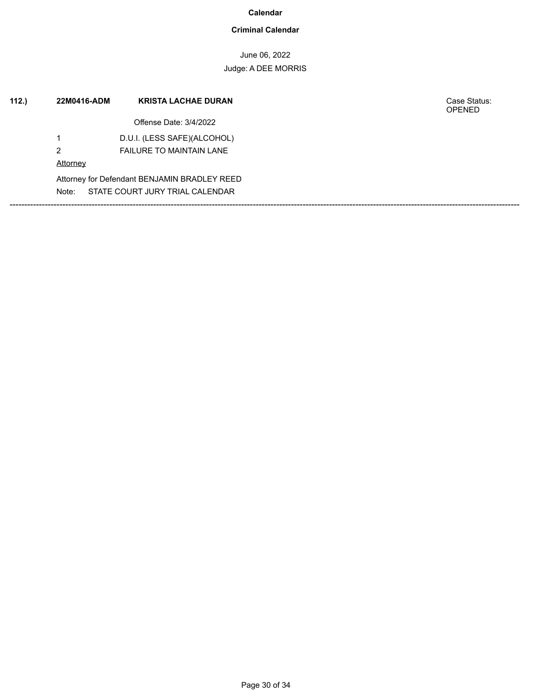### **Criminal Calendar**

June 06, 2022 Judge: A DEE MORRIS

| 112. | 22M0416-ADM | <b>KRISTA LACHAE DURAN</b>                   | Case Status:<br><b>OPENED</b> |
|------|-------------|----------------------------------------------|-------------------------------|
|      |             | Offense Date: 3/4/2022                       |                               |
|      |             | D.U.I. (LESS SAFE)(ALCOHOL)                  |                               |
|      | 2           | <b>FAILURE TO MAINTAIN LANE</b>              |                               |
|      | Attorney    |                                              |                               |
|      |             | Attorney for Defendant BENJAMIN BRADLEY REED |                               |
|      | Note:       | STATE COURT JURY TRIAL CALENDAR              |                               |
|      |             |                                              |                               |
|      |             |                                              |                               |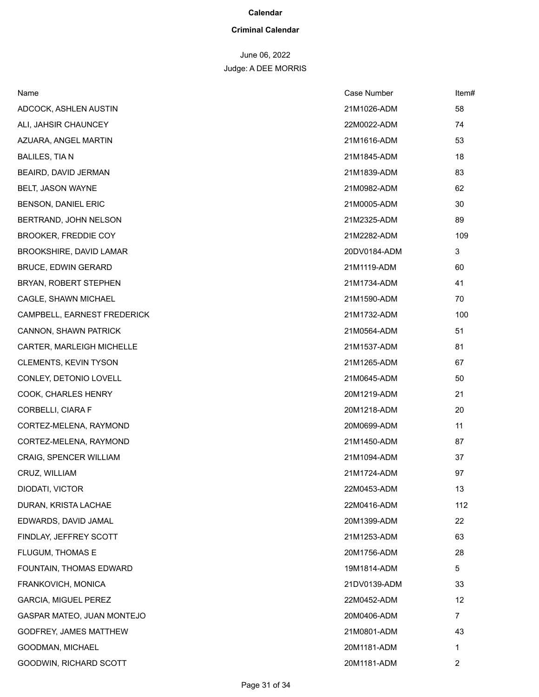#### **Criminal Calendar**

# June 06, 2022

| Name                          | Case Number  | Item#          |
|-------------------------------|--------------|----------------|
| ADCOCK, ASHLEN AUSTIN         | 21M1026-ADM  | 58             |
| ALI, JAHSIR CHAUNCEY          | 22M0022-ADM  | 74             |
| AZUARA, ANGEL MARTIN          | 21M1616-ADM  | 53             |
| <b>BALILES, TIAN</b>          | 21M1845-ADM  | 18             |
| BEAIRD, DAVID JERMAN          | 21M1839-ADM  | 83             |
| BELT, JASON WAYNE             | 21M0982-ADM  | 62             |
| BENSON, DANIEL ERIC           | 21M0005-ADM  | 30             |
| BERTRAND, JOHN NELSON         | 21M2325-ADM  | 89             |
| <b>BROOKER, FREDDIE COY</b>   | 21M2282-ADM  | 109            |
| BROOKSHIRE, DAVID LAMAR       | 20DV0184-ADM | 3              |
| <b>BRUCE, EDWIN GERARD</b>    | 21M1119-ADM  | 60             |
| BRYAN, ROBERT STEPHEN         | 21M1734-ADM  | 41             |
| CAGLE, SHAWN MICHAEL          | 21M1590-ADM  | 70             |
| CAMPBELL, EARNEST FREDERICK   | 21M1732-ADM  | 100            |
| CANNON, SHAWN PATRICK         | 21M0564-ADM  | 51             |
| CARTER, MARLEIGH MICHELLE     | 21M1537-ADM  | 81             |
| <b>CLEMENTS, KEVIN TYSON</b>  | 21M1265-ADM  | 67             |
| CONLEY, DETONIO LOVELL        | 21M0645-ADM  | 50             |
| COOK, CHARLES HENRY           | 20M1219-ADM  | 21             |
| CORBELLI, CIARA F             | 20M1218-ADM  | 20             |
| CORTEZ-MELENA, RAYMOND        | 20M0699-ADM  | 11             |
| CORTEZ-MELENA, RAYMOND        | 21M1450-ADM  | 87             |
| CRAIG, SPENCER WILLIAM        | 21M1094-ADM  | 37             |
| CRUZ, WILLIAM                 | 21M1724-ADM  | 97             |
| DIODATI, VICTOR               | 22M0453-ADM  | 13             |
| DURAN, KRISTA LACHAE          | 22M0416-ADM  | 112            |
| EDWARDS, DAVID JAMAL          | 20M1399-ADM  | 22             |
| FINDLAY, JEFFREY SCOTT        | 21M1253-ADM  | 63             |
| FLUGUM, THOMAS E              | 20M1756-ADM  | 28             |
| FOUNTAIN, THOMAS EDWARD       | 19M1814-ADM  | 5              |
| FRANKOVICH, MONICA            | 21DV0139-ADM | 33             |
| <b>GARCIA, MIGUEL PEREZ</b>   | 22M0452-ADM  | 12             |
| GASPAR MATEO, JUAN MONTEJO    | 20M0406-ADM  | 7              |
| <b>GODFREY, JAMES MATTHEW</b> | 21M0801-ADM  | 43             |
| GOODMAN, MICHAEL              | 20M1181-ADM  | 1              |
| GOODWIN, RICHARD SCOTT        | 20M1181-ADM  | $\overline{2}$ |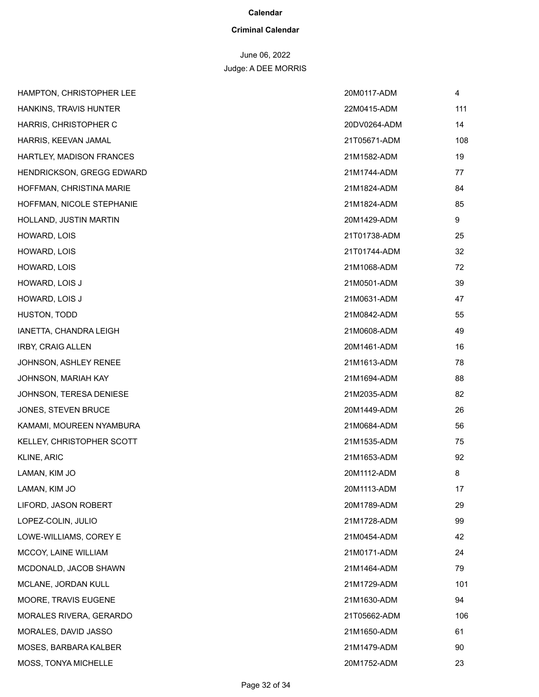#### **Criminal Calendar**

# June 06, 2022

| HAMPTON, CHRISTOPHER LEE     | 20M0117-ADM  | 4   |
|------------------------------|--------------|-----|
| HANKINS, TRAVIS HUNTER       | 22M0415-ADM  | 111 |
| HARRIS, CHRISTOPHER C        | 20DV0264-ADM | 14  |
| HARRIS, KEEVAN JAMAL         | 21T05671-ADM | 108 |
| HARTLEY, MADISON FRANCES     | 21M1582-ADM  | 19  |
| HENDRICKSON, GREGG EDWARD    | 21M1744-ADM  | 77  |
| HOFFMAN, CHRISTINA MARIE     | 21M1824-ADM  | 84  |
| HOFFMAN, NICOLE STEPHANIE    | 21M1824-ADM  | 85  |
| HOLLAND, JUSTIN MARTIN       | 20M1429-ADM  | 9   |
| HOWARD, LOIS                 | 21T01738-ADM | 25  |
| HOWARD, LOIS                 | 21T01744-ADM | 32  |
| HOWARD, LOIS                 | 21M1068-ADM  | 72  |
| HOWARD, LOIS J               | 21M0501-ADM  | 39  |
| HOWARD, LOIS J               | 21M0631-ADM  | 47  |
| HUSTON, TODD                 | 21M0842-ADM  | 55  |
| IANETTA, CHANDRA LEIGH       | 21M0608-ADM  | 49  |
| <b>IRBY, CRAIG ALLEN</b>     | 20M1461-ADM  | 16  |
| <b>JOHNSON, ASHLEY RENEE</b> | 21M1613-ADM  | 78  |
| JOHNSON, MARIAH KAY          | 21M1694-ADM  | 88  |
| JOHNSON, TERESA DENIESE      | 21M2035-ADM  | 82  |
| JONES, STEVEN BRUCE          | 20M1449-ADM  | 26  |
| KAMAMI, MOUREEN NYAMBURA     | 21M0684-ADM  | 56  |
| KELLEY, CHRISTOPHER SCOTT    | 21M1535-ADM  | 75  |
| KLINE, ARIC                  | 21M1653-ADM  | 92  |
| LAMAN, KIM JO                | 20M1112-ADM  | 8   |
| LAMAN, KIM JO                | 20M1113-ADM  | 17  |
| LIFORD, JASON ROBERT         | 20M1789-ADM  | 29  |
| LOPEZ-COLIN, JULIO           | 21M1728-ADM  | 99  |
| LOWE-WILLIAMS, COREY E       | 21M0454-ADM  | 42  |
| MCCOY, LAINE WILLIAM         | 21M0171-ADM  | 24  |
| MCDONALD, JACOB SHAWN        | 21M1464-ADM  | 79  |
| MCLANE, JORDAN KULL          | 21M1729-ADM  | 101 |
| MOORE, TRAVIS EUGENE         | 21M1630-ADM  | 94  |
| MORALES RIVERA, GERARDO      | 21T05662-ADM | 106 |
| MORALES, DAVID JASSO         | 21M1650-ADM  | 61  |
| MOSES, BARBARA KALBER        | 21M1479-ADM  | 90  |
| MOSS, TONYA MICHELLE         | 20M1752-ADM  | 23  |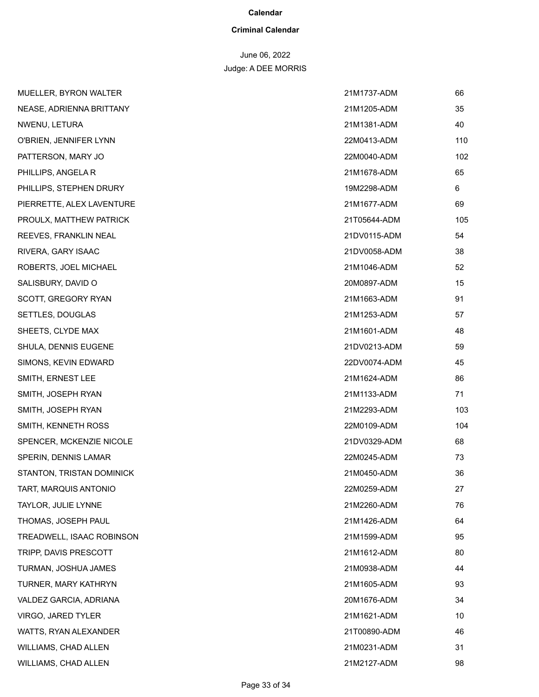#### **Criminal Calendar**

# June 06, 2022

| <b>MUELLER, BYRON WALTER</b>     | 21M1737-ADM  | 66  |
|----------------------------------|--------------|-----|
| NEASE, ADRIENNA BRITTANY         | 21M1205-ADM  | 35  |
| NWENU, LETURA                    | 21M1381-ADM  | 40  |
| O'BRIEN, JENNIFER LYNN           | 22M0413-ADM  | 110 |
| PATTERSON, MARY JO               | 22M0040-ADM  | 102 |
| PHILLIPS, ANGELA R               | 21M1678-ADM  | 65  |
| PHILLIPS, STEPHEN DRURY          | 19M2298-ADM  | 6   |
| PIERRETTE, ALEX LAVENTURE        | 21M1677-ADM  | 69  |
| PROULX, MATTHEW PATRICK          | 21T05644-ADM | 105 |
| REEVES, FRANKLIN NEAL            | 21DV0115-ADM | 54  |
| RIVERA, GARY ISAAC               | 21DV0058-ADM | 38  |
| ROBERTS, JOEL MICHAEL            | 21M1046-ADM  | 52  |
| SALISBURY, DAVID O               | 20M0897-ADM  | 15  |
| SCOTT, GREGORY RYAN              | 21M1663-ADM  | 91  |
| SETTLES, DOUGLAS                 | 21M1253-ADM  | 57  |
| SHEETS, CLYDE MAX                | 21M1601-ADM  | 48  |
| SHULA, DENNIS EUGENE             | 21DV0213-ADM | 59  |
| SIMONS, KEVIN EDWARD             | 22DV0074-ADM | 45  |
| SMITH, ERNEST LEE                | 21M1624-ADM  | 86  |
| SMITH, JOSEPH RYAN               | 21M1133-ADM  | 71  |
| SMITH, JOSEPH RYAN               | 21M2293-ADM  | 103 |
| SMITH, KENNETH ROSS              | 22M0109-ADM  | 104 |
| SPENCER, MCKENZIE NICOLE         | 21DV0329-ADM | 68  |
| SPERIN, DENNIS LAMAR             | 22M0245-ADM  | 73  |
| <b>STANTON, TRISTAN DOMINICK</b> | 21M0450-ADM  | 36  |
| TART, MARQUIS ANTONIO            | 22M0259-ADM  | 27  |
| TAYLOR, JULIE LYNNE              | 21M2260-ADM  | 76  |
| THOMAS, JOSEPH PAUL              | 21M1426-ADM  | 64  |
| TREADWELL, ISAAC ROBINSON        | 21M1599-ADM  | 95  |
| TRIPP, DAVIS PRESCOTT            | 21M1612-ADM  | 80  |
| TURMAN, JOSHUA JAMES             | 21M0938-ADM  | 44  |
| TURNER, MARY KATHRYN             | 21M1605-ADM  | 93  |
| VALDEZ GARCIA, ADRIANA           | 20M1676-ADM  | 34  |
| VIRGO, JARED TYLER               | 21M1621-ADM  | 10  |
| WATTS, RYAN ALEXANDER            | 21T00890-ADM | 46  |
| WILLIAMS, CHAD ALLEN             | 21M0231-ADM  | 31  |
| WILLIAMS, CHAD ALLEN             | 21M2127-ADM  | 98  |